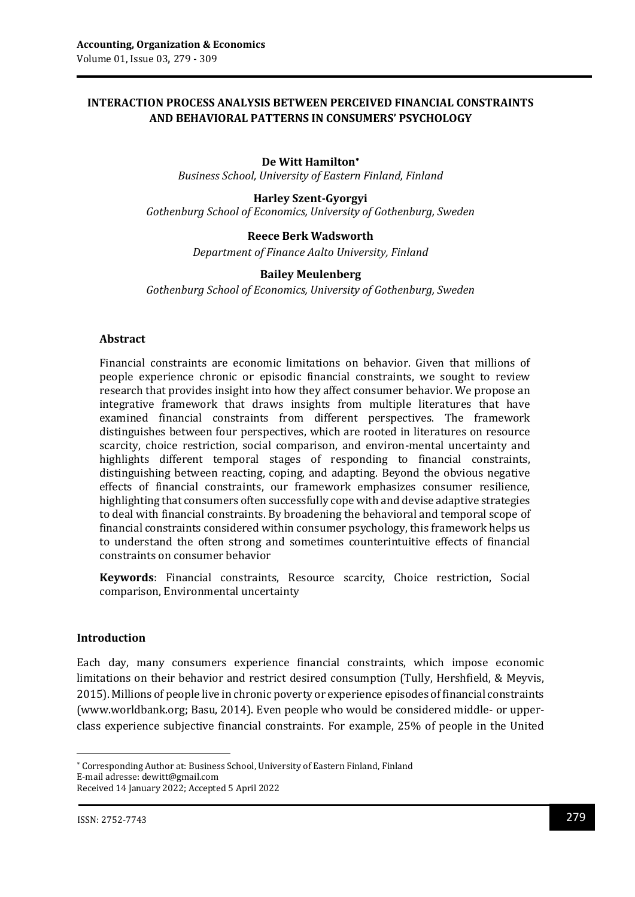# **INTERACTION PROCESS ANALYSIS BETWEEN PERCEIVED FINANCIAL CONSTRAINTS AND BEHAVIORAL PATTERNS IN CONSUMERS' PSYCHOLOGY**

### **De Witt Hamilton**

*Business School, University of Eastern Finland, Finland*

**Harley Szent-Gyorgyi** *Gothenburg School of Economics, University of Gothenburg, Sweden*

### **Reece Berk Wadsworth**

*Department of Finance Aalto University, Finland*

#### **Bailey Meulenberg**

*Gothenburg School of Economics, University of Gothenburg, Sweden*

#### **Abstract**

Financial constraints are economic limitations on behavior. Given that millions of people experience chronic or episodic financial constraints, we sought to review research that provides insight into how they affect consumer behavior. We propose an integrative framework that draws insights from multiple literatures that have examined financial constraints from different perspectives. The framework distinguishes between four perspectives, which are rooted in literatures on resource scarcity, choice restriction, social comparison, and environ-mental uncertainty and highlights different temporal stages of responding to financial constraints, distinguishing between reacting, coping, and adapting. Beyond the obvious negative effects of financial constraints, our framework emphasizes consumer resilience, highlighting that consumers often successfully cope with and devise adaptive strategies to deal with financial constraints. By broadening the behavioral and temporal scope of financial constraints considered within consumer psychology, this framework helps us to understand the often strong and sometimes counterintuitive effects of financial constraints on consumer behavior

**Keywords**: Financial constraints, Resource scarcity, Choice restriction, Social comparison, Environmental uncertainty

### **Introduction**

Each day, many consumers experience financial constraints, which impose economic limitations on their behavior and restrict desired consumption (Tully, Hershfield, & Meyvis, 2015). Millions of people live in chronic poverty or experience episodes of financial constraints (www.worldbank.org; Basu, 2014). Even people who would be considered middle- or upperclass experience subjective financial constraints. For example, 25% of people in the United

1

Corresponding Author at: Business School, University of Eastern Finland, Finland E-mail adresse: dewitt@gmail.com Received 14 January 2022; Accepted 5 April 2022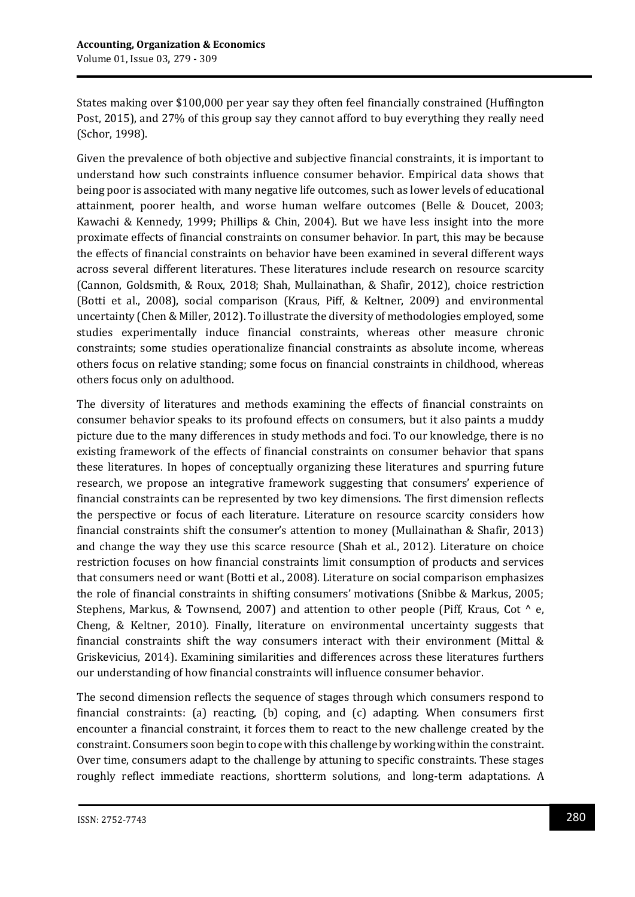States making over \$100,000 per year say they often feel financially constrained (Huffington Post, 2015), and 27% of this group say they cannot afford to buy everything they really need (Schor, 1998).

Given the prevalence of both objective and subjective financial constraints, it is important to understand how such constraints influence consumer behavior. Empirical data shows that being poor is associated with many negative life outcomes, such as lower levels of educational attainment, poorer health, and worse human welfare outcomes (Belle & Doucet, 2003; Kawachi & Kennedy, 1999; Phillips & Chin, 2004). But we have less insight into the more proximate effects of financial constraints on consumer behavior. In part, this may be because the effects of financial constraints on behavior have been examined in several different ways across several different literatures. These literatures include research on resource scarcity (Cannon, Goldsmith, & Roux, 2018; Shah, Mullainathan, & Shafir, 2012), choice restriction (Botti et al., 2008), social comparison (Kraus, Piff, & Keltner, 2009) and environmental uncertainty (Chen & Miller, 2012). To illustrate the diversity of methodologies employed, some studies experimentally induce financial constraints, whereas other measure chronic constraints; some studies operationalize financial constraints as absolute income, whereas others focus on relative standing; some focus on financial constraints in childhood, whereas others focus only on adulthood.

The diversity of literatures and methods examining the effects of financial constraints on consumer behavior speaks to its profound effects on consumers, but it also paints a muddy picture due to the many differences in study methods and foci. To our knowledge, there is no existing framework of the effects of financial constraints on consumer behavior that spans these literatures. In hopes of conceptually organizing these literatures and spurring future research, we propose an integrative framework suggesting that consumers' experience of financial constraints can be represented by two key dimensions. The first dimension reflects the perspective or focus of each literature. Literature on resource scarcity considers how financial constraints shift the consumer's attention to money (Mullainathan & Shafir, 2013) and change the way they use this scarce resource (Shah et al., 2012). Literature on choice restriction focuses on how financial constraints limit consumption of products and services that consumers need or want (Botti et al., 2008). Literature on social comparison emphasizes the role of financial constraints in shifting consumers' motivations (Snibbe & Markus, 2005; Stephens, Markus, & Townsend, 2007) and attention to other people (Piff, Kraus, Cot  $\wedge$  e, Cheng, & Keltner, 2010). Finally, literature on environmental uncertainty suggests that financial constraints shift the way consumers interact with their environment (Mittal & Griskevicius, 2014). Examining similarities and differences across these literatures furthers our understanding of how financial constraints will influence consumer behavior.

The second dimension reflects the sequence of stages through which consumers respond to financial constraints: (a) reacting, (b) coping, and (c) adapting. When consumers first encounter a financial constraint, it forces them to react to the new challenge created by the constraint. Consumers soon begin to cope with this challenge by working within the constraint. Over time, consumers adapt to the challenge by attuning to specific constraints. These stages roughly reflect immediate reactions, shortterm solutions, and long-term adaptations. A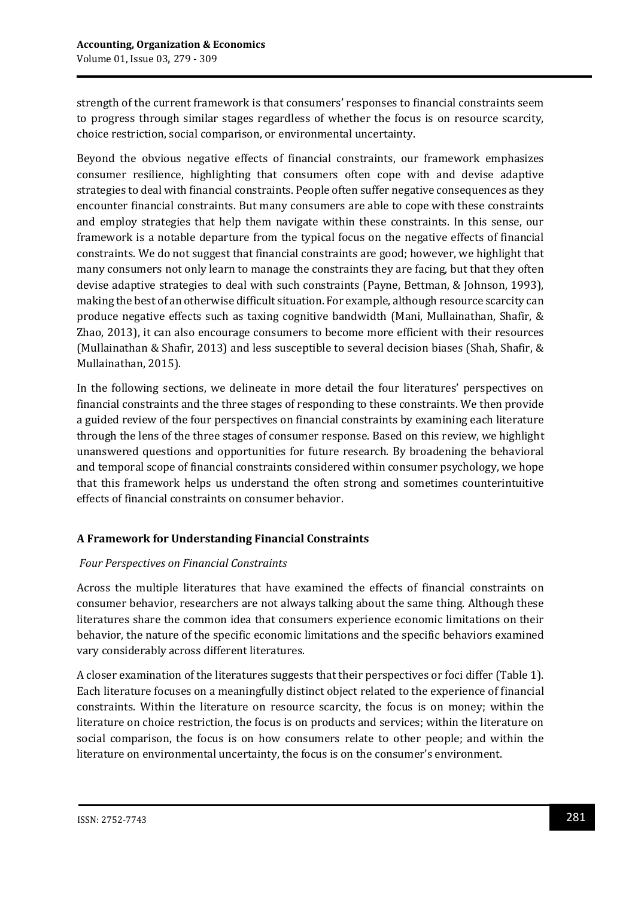strength of the current framework is that consumers' responses to financial constraints seem to progress through similar stages regardless of whether the focus is on resource scarcity, choice restriction, social comparison, or environmental uncertainty.

Beyond the obvious negative effects of financial constraints, our framework emphasizes consumer resilience, highlighting that consumers often cope with and devise adaptive strategies to deal with financial constraints. People often suffer negative consequences as they encounter financial constraints. But many consumers are able to cope with these constraints and employ strategies that help them navigate within these constraints. In this sense, our framework is a notable departure from the typical focus on the negative effects of financial constraints. We do not suggest that financial constraints are good; however, we highlight that many consumers not only learn to manage the constraints they are facing, but that they often devise adaptive strategies to deal with such constraints (Payne, Bettman, & Johnson, 1993), making the best of an otherwise difficult situation. For example, although resource scarcity can produce negative effects such as taxing cognitive bandwidth (Mani, Mullainathan, Shafir, & Zhao, 2013), it can also encourage consumers to become more efficient with their resources (Mullainathan & Shafir, 2013) and less susceptible to several decision biases (Shah, Shafir, & Mullainathan, 2015).

In the following sections, we delineate in more detail the four literatures' perspectives on financial constraints and the three stages of responding to these constraints. We then provide a guided review of the four perspectives on financial constraints by examining each literature through the lens of the three stages of consumer response. Based on this review, we highlight unanswered questions and opportunities for future research. By broadening the behavioral and temporal scope of financial constraints considered within consumer psychology, we hope that this framework helps us understand the often strong and sometimes counterintuitive effects of financial constraints on consumer behavior.

# **A Framework for Understanding Financial Constraints**

### *Four Perspectives on Financial Constraints*

Across the multiple literatures that have examined the effects of financial constraints on consumer behavior, researchers are not always talking about the same thing. Although these literatures share the common idea that consumers experience economic limitations on their behavior, the nature of the specific economic limitations and the specific behaviors examined vary considerably across different literatures.

A closer examination of the literatures suggests that their perspectives or foci differ (Table 1). Each literature focuses on a meaningfully distinct object related to the experience of financial constraints. Within the literature on resource scarcity, the focus is on money; within the literature on choice restriction, the focus is on products and services; within the literature on social comparison, the focus is on how consumers relate to other people; and within the literature on environmental uncertainty, the focus is on the consumer's environment.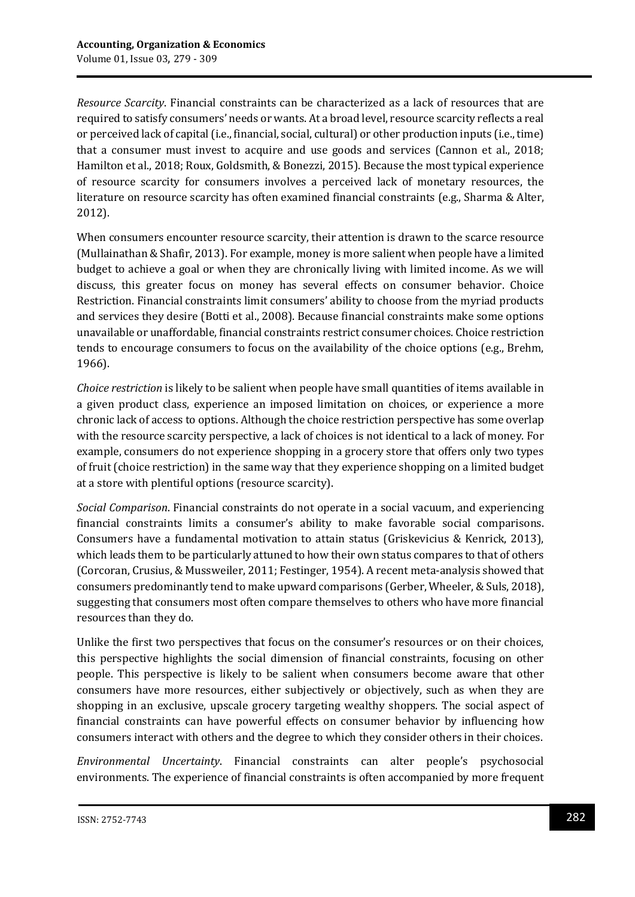*Resource Scarcity*. Financial constraints can be characterized as a lack of resources that are required to satisfy consumers' needs or wants. At a broad level, resource scarcity reflects a real or perceived lack of capital (i.e., financial, social, cultural) or other production inputs (i.e., time) that a consumer must invest to acquire and use goods and services (Cannon et al., 2018; Hamilton et al., 2018; Roux, Goldsmith, & Bonezzi, 2015). Because the most typical experience of resource scarcity for consumers involves a perceived lack of monetary resources, the literature on resource scarcity has often examined financial constraints (e.g., Sharma & Alter, 2012).

When consumers encounter resource scarcity, their attention is drawn to the scarce resource (Mullainathan & Shafir, 2013). For example, money is more salient when people have a limited budget to achieve a goal or when they are chronically living with limited income. As we will discuss, this greater focus on money has several effects on consumer behavior. Choice Restriction. Financial constraints limit consumers' ability to choose from the myriad products and services they desire (Botti et al., 2008). Because financial constraints make some options unavailable or unaffordable, financial constraints restrict consumer choices. Choice restriction tends to encourage consumers to focus on the availability of the choice options (e.g., Brehm, 1966).

*Choice restriction* is likely to be salient when people have small quantities of items available in a given product class, experience an imposed limitation on choices, or experience a more chronic lack of access to options. Although the choice restriction perspective has some overlap with the resource scarcity perspective, a lack of choices is not identical to a lack of money. For example, consumers do not experience shopping in a grocery store that offers only two types of fruit (choice restriction) in the same way that they experience shopping on a limited budget at a store with plentiful options (resource scarcity).

*Social Comparison*. Financial constraints do not operate in a social vacuum, and experiencing financial constraints limits a consumer's ability to make favorable social comparisons. Consumers have a fundamental motivation to attain status (Griskevicius & Kenrick, 2013), which leads them to be particularly attuned to how their own status compares to that of others (Corcoran, Crusius, & Mussweiler, 2011; Festinger, 1954). A recent meta-analysis showed that consumers predominantly tend to make upward comparisons (Gerber, Wheeler, & Suls, 2018), suggesting that consumers most often compare themselves to others who have more financial resources than they do.

Unlike the first two perspectives that focus on the consumer's resources or on their choices, this perspective highlights the social dimension of financial constraints, focusing on other people. This perspective is likely to be salient when consumers become aware that other consumers have more resources, either subjectively or objectively, such as when they are shopping in an exclusive, upscale grocery targeting wealthy shoppers. The social aspect of financial constraints can have powerful effects on consumer behavior by influencing how consumers interact with others and the degree to which they consider others in their choices.

*Environmental Uncertainty*. Financial constraints can alter people's psychosocial environments. The experience of financial constraints is often accompanied by more frequent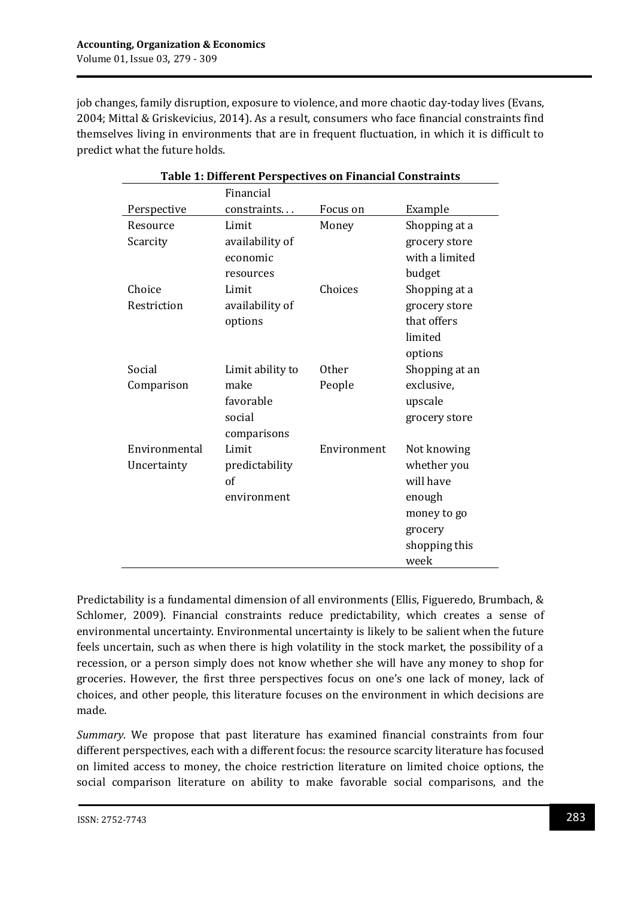job changes, family disruption, exposure to violence, and more chaotic day-today lives (Evans, 2004; Mittal & Griskevicius, 2014). As a result, consumers who face financial constraints find themselves living in environments that are in frequent fluctuation, in which it is difficult to predict what the future holds.

| <b>Table 1: Different Perspectives on Financial Constraints</b> |                  |              |                |  |
|-----------------------------------------------------------------|------------------|--------------|----------------|--|
|                                                                 | Financial        |              |                |  |
| Perspective                                                     | constraints      | Focus on     | Example        |  |
| Resource                                                        | Limit            | Money        | Shopping at a  |  |
| Scarcity                                                        | availability of  |              | grocery store  |  |
|                                                                 | economic         |              | with a limited |  |
|                                                                 | resources        |              | budget         |  |
| Choice                                                          | Limit            | Choices      | Shopping at a  |  |
| Restriction                                                     | availability of  |              | grocery store  |  |
|                                                                 | options          |              | that offers    |  |
|                                                                 |                  |              | limited        |  |
|                                                                 |                  |              | options        |  |
| Social                                                          | Limit ability to | <b>Other</b> | Shopping at an |  |
| Comparison                                                      | make             | People       | exclusive,     |  |
|                                                                 | favorable        |              | upscale        |  |
|                                                                 | social           |              | grocery store  |  |
|                                                                 | comparisons      |              |                |  |
| Environmental                                                   | Limit            | Environment  | Not knowing    |  |
| Uncertainty                                                     | predictability   |              | whether you    |  |
|                                                                 | of               |              | will have      |  |
|                                                                 | environment      |              | enough         |  |
|                                                                 |                  |              | money to go    |  |
|                                                                 |                  |              | grocery        |  |
|                                                                 |                  |              | shopping this  |  |
|                                                                 |                  |              | week           |  |

Predictability is a fundamental dimension of all environments (Ellis, Figueredo, Brumbach, & Schlomer, 2009). Financial constraints reduce predictability, which creates a sense of environmental uncertainty. Environmental uncertainty is likely to be salient when the future feels uncertain, such as when there is high volatility in the stock market, the possibility of a recession, or a person simply does not know whether she will have any money to shop for groceries. However, the first three perspectives focus on one's one lack of money, lack of choices, and other people, this literature focuses on the environment in which decisions are made.

*Summary*. We propose that past literature has examined financial constraints from four different perspectives, each with a different focus: the resource scarcity literature has focused on limited access to money, the choice restriction literature on limited choice options, the social comparison literature on ability to make favorable social comparisons, and the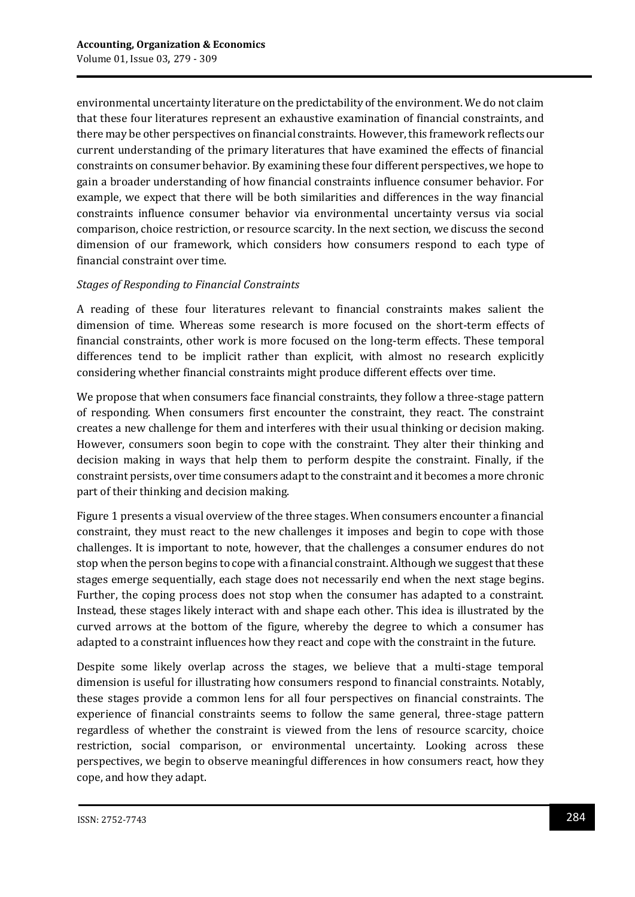environmental uncertainty literature on the predictability of the environment. We do not claim that these four literatures represent an exhaustive examination of financial constraints, and there may be other perspectives on financial constraints. However, this framework reflects our current understanding of the primary literatures that have examined the effects of financial constraints on consumer behavior. By examining these four different perspectives, we hope to gain a broader understanding of how financial constraints influence consumer behavior. For example, we expect that there will be both similarities and differences in the way financial constraints influence consumer behavior via environmental uncertainty versus via social comparison, choice restriction, or resource scarcity. In the next section, we discuss the second dimension of our framework, which considers how consumers respond to each type of financial constraint over time.

### *Stages of Responding to Financial Constraints*

A reading of these four literatures relevant to financial constraints makes salient the dimension of time. Whereas some research is more focused on the short-term effects of financial constraints, other work is more focused on the long-term effects. These temporal differences tend to be implicit rather than explicit, with almost no research explicitly considering whether financial constraints might produce different effects over time.

We propose that when consumers face financial constraints, they follow a three-stage pattern of responding. When consumers first encounter the constraint, they react. The constraint creates a new challenge for them and interferes with their usual thinking or decision making. However, consumers soon begin to cope with the constraint. They alter their thinking and decision making in ways that help them to perform despite the constraint. Finally, if the constraint persists, over time consumers adapt to the constraint and it becomes a more chronic part of their thinking and decision making.

Figure 1 presents a visual overview of the three stages. When consumers encounter a financial constraint, they must react to the new challenges it imposes and begin to cope with those challenges. It is important to note, however, that the challenges a consumer endures do not stop when the person begins to cope with a financial constraint. Although we suggest that these stages emerge sequentially, each stage does not necessarily end when the next stage begins. Further, the coping process does not stop when the consumer has adapted to a constraint. Instead, these stages likely interact with and shape each other. This idea is illustrated by the curved arrows at the bottom of the figure, whereby the degree to which a consumer has adapted to a constraint influences how they react and cope with the constraint in the future.

Despite some likely overlap across the stages, we believe that a multi-stage temporal dimension is useful for illustrating how consumers respond to financial constraints. Notably, these stages provide a common lens for all four perspectives on financial constraints. The experience of financial constraints seems to follow the same general, three-stage pattern regardless of whether the constraint is viewed from the lens of resource scarcity, choice restriction, social comparison, or environmental uncertainty. Looking across these perspectives, we begin to observe meaningful differences in how consumers react, how they cope, and how they adapt.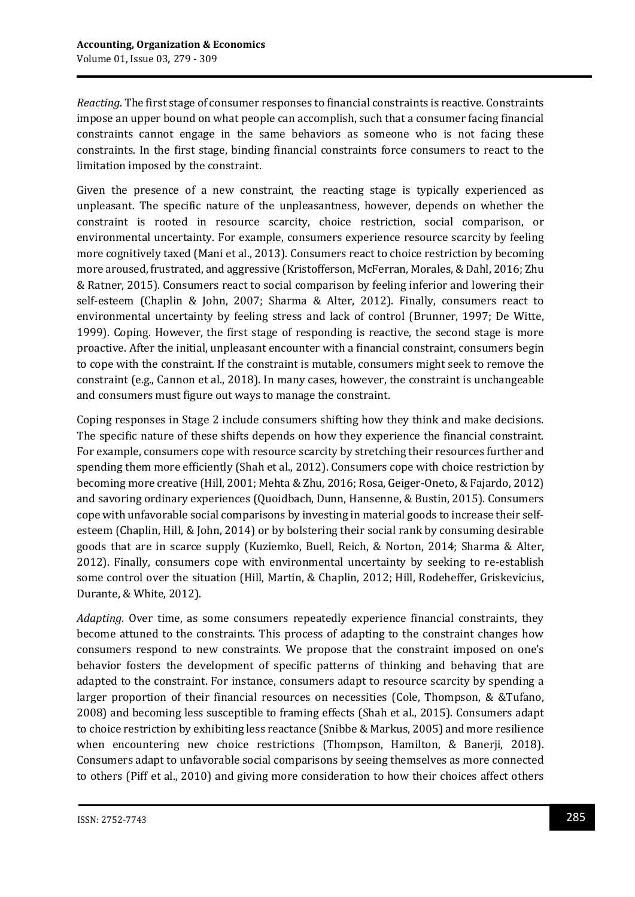*Reacting*. The first stage of consumer responses to financial constraints is reactive. Constraints impose an upper bound on what people can accomplish, such that a consumer facing financial constraints cannot engage in the same behaviors as someone who is not facing these constraints. In the first stage, binding financial constraints force consumers to react to the limitation imposed by the constraint.

Given the presence of a new constraint, the reacting stage is typically experienced as unpleasant. The specific nature of the unpleasantness, however, depends on whether the constraint is rooted in resource scarcity, choice restriction, social comparison, or environmental uncertainty. For example, consumers experience resource scarcity by feeling more cognitively taxed (Mani et al., 2013). Consumers react to choice restriction by becoming more aroused, frustrated, and aggressive (Kristofferson, McFerran, Morales, & Dahl, 2016; Zhu & Ratner, 2015). Consumers react to social comparison by feeling inferior and lowering their self-esteem (Chaplin & John, 2007; Sharma & Alter, 2012). Finally, consumers react to environmental uncertainty by feeling stress and lack of control (Brunner, 1997; De Witte, 1999). Coping. However, the first stage of responding is reactive, the second stage is more proactive. After the initial, unpleasant encounter with a financial constraint, consumers begin to cope with the constraint. If the constraint is mutable, consumers might seek to remove the constraint (e.g., Cannon et al., 2018). In many cases, however, the constraint is unchangeable and consumers must figure out ways to manage the constraint.

Coping responses in Stage 2 include consumers shifting how they think and make decisions. The specific nature of these shifts depends on how they experience the financial constraint. For example, consumers cope with resource scarcity by stretching their resources further and spending them more efficiently (Shah et al., 2012). Consumers cope with choice restriction by becoming more creative (Hill, 2001; Mehta & Zhu, 2016; Rosa, Geiger-Oneto, & Fajardo, 2012) and savoring ordinary experiences (Quoidbach, Dunn, Hansenne, & Bustin, 2015). Consumers cope with unfavorable social comparisons by investing in material goods to increase their selfesteem (Chaplin, Hill, & John, 2014) or by bolstering their social rank by consuming desirable goods that are in scarce supply (Kuziemko, Buell, Reich, & Norton, 2014; Sharma & Alter, 2012). Finally, consumers cope with environmental uncertainty by seeking to re-establish some control over the situation (Hill, Martin, & Chaplin, 2012; Hill, Rodeheffer, Griskevicius, Durante, & White, 2012).

*Adapting*. Over time, as some consumers repeatedly experience financial constraints, they become attuned to the constraints. This process of adapting to the constraint changes how consumers respond to new constraints. We propose that the constraint imposed on one's behavior fosters the development of specific patterns of thinking and behaving that are adapted to the constraint. For instance, consumers adapt to resource scarcity by spending a larger proportion of their financial resources on necessities (Cole, Thompson, & &Tufano, 2008) and becoming less susceptible to framing effects (Shah et al., 2015). Consumers adapt to choice restriction by exhibiting less reactance (Snibbe & Markus, 2005) and more resilience when encountering new choice restrictions (Thompson, Hamilton, & Banerji, 2018). Consumers adapt to unfavorable social comparisons by seeing themselves as more connected to others (Piff et al., 2010) and giving more consideration to how their choices affect others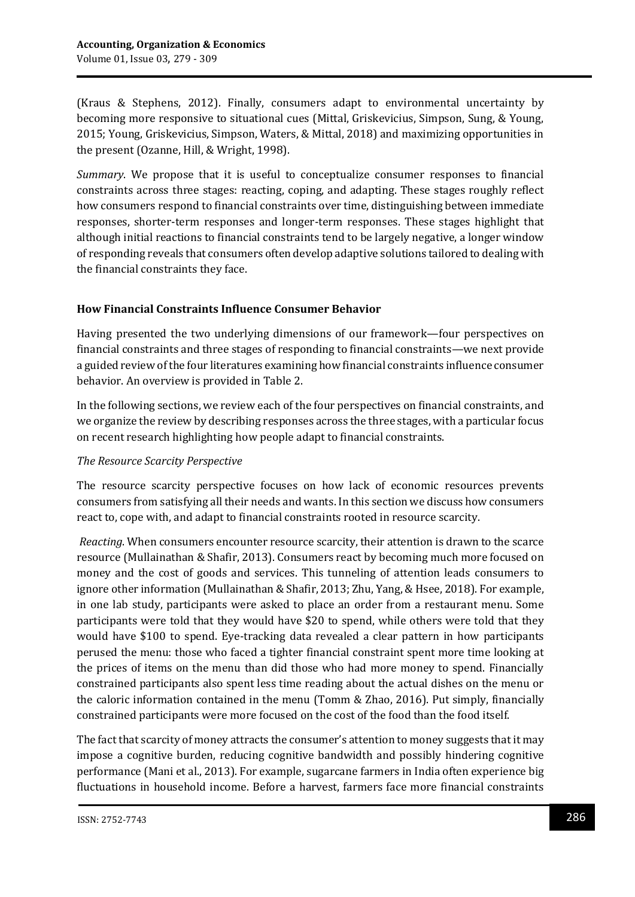(Kraus & Stephens, 2012). Finally, consumers adapt to environmental uncertainty by becoming more responsive to situational cues (Mittal, Griskevicius, Simpson, Sung, & Young, 2015; Young, Griskevicius, Simpson, Waters, & Mittal, 2018) and maximizing opportunities in the present (Ozanne, Hill, & Wright, 1998).

*Summary*. We propose that it is useful to conceptualize consumer responses to financial constraints across three stages: reacting, coping, and adapting. These stages roughly reflect how consumers respond to financial constraints over time, distinguishing between immediate responses, shorter-term responses and longer-term responses. These stages highlight that although initial reactions to financial constraints tend to be largely negative, a longer window of responding reveals that consumers often develop adaptive solutions tailored to dealing with the financial constraints they face.

## **How Financial Constraints Influence Consumer Behavior**

Having presented the two underlying dimensions of our framework—four perspectives on financial constraints and three stages of responding to financial constraints—we next provide a guided review of the four literatures examining how financial constraints influence consumer behavior. An overview is provided in Table 2.

In the following sections, we review each of the four perspectives on financial constraints, and we organize the review by describing responses across the three stages, with a particular focus on recent research highlighting how people adapt to financial constraints.

### *The Resource Scarcity Perspective*

The resource scarcity perspective focuses on how lack of economic resources prevents consumers from satisfying all their needs and wants. In this section we discuss how consumers react to, cope with, and adapt to financial constraints rooted in resource scarcity.

*Reacting*. When consumers encounter resource scarcity, their attention is drawn to the scarce resource (Mullainathan & Shafir, 2013). Consumers react by becoming much more focused on money and the cost of goods and services. This tunneling of attention leads consumers to ignore other information (Mullainathan & Shafir, 2013; Zhu, Yang, & Hsee, 2018). For example, in one lab study, participants were asked to place an order from a restaurant menu. Some participants were told that they would have \$20 to spend, while others were told that they would have \$100 to spend. Eye-tracking data revealed a clear pattern in how participants perused the menu: those who faced a tighter financial constraint spent more time looking at the prices of items on the menu than did those who had more money to spend. Financially constrained participants also spent less time reading about the actual dishes on the menu or the caloric information contained in the menu (Tomm & Zhao, 2016). Put simply, financially constrained participants were more focused on the cost of the food than the food itself.

The fact that scarcity of money attracts the consumer's attention to money suggests that it may impose a cognitive burden, reducing cognitive bandwidth and possibly hindering cognitive performance (Mani et al., 2013). For example, sugarcane farmers in India often experience big fluctuations in household income. Before a harvest, farmers face more financial constraints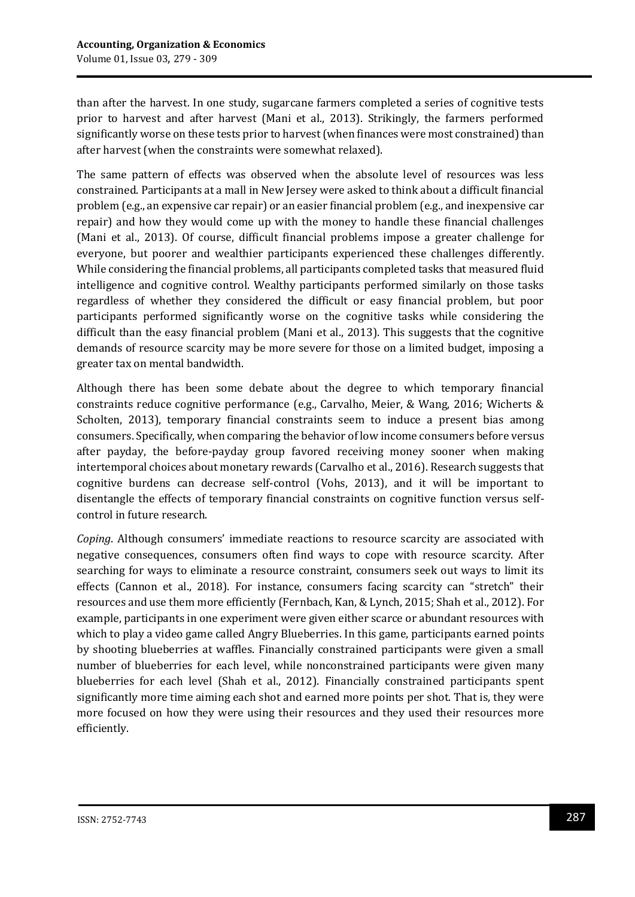than after the harvest. In one study, sugarcane farmers completed a series of cognitive tests prior to harvest and after harvest (Mani et al., 2013). Strikingly, the farmers performed significantly worse on these tests prior to harvest (when finances were most constrained) than after harvest (when the constraints were somewhat relaxed).

The same pattern of effects was observed when the absolute level of resources was less constrained. Participants at a mall in New Jersey were asked to think about a difficult financial problem (e.g., an expensive car repair) or an easier financial problem (e.g., and inexpensive car repair) and how they would come up with the money to handle these financial challenges (Mani et al., 2013). Of course, difficult financial problems impose a greater challenge for everyone, but poorer and wealthier participants experienced these challenges differently. While considering the financial problems, all participants completed tasks that measured fluid intelligence and cognitive control. Wealthy participants performed similarly on those tasks regardless of whether they considered the difficult or easy financial problem, but poor participants performed significantly worse on the cognitive tasks while considering the difficult than the easy financial problem (Mani et al., 2013). This suggests that the cognitive demands of resource scarcity may be more severe for those on a limited budget, imposing a greater tax on mental bandwidth.

Although there has been some debate about the degree to which temporary financial constraints reduce cognitive performance (e.g., Carvalho, Meier, & Wang, 2016; Wicherts & Scholten, 2013), temporary financial constraints seem to induce a present bias among consumers. Specifically, when comparing the behavior of low income consumers before versus after payday, the before-payday group favored receiving money sooner when making intertemporal choices about monetary rewards (Carvalho et al., 2016). Research suggests that cognitive burdens can decrease self-control (Vohs, 2013), and it will be important to disentangle the effects of temporary financial constraints on cognitive function versus selfcontrol in future research.

*Coping*. Although consumers' immediate reactions to resource scarcity are associated with negative consequences, consumers often find ways to cope with resource scarcity. After searching for ways to eliminate a resource constraint, consumers seek out ways to limit its effects (Cannon et al., 2018). For instance, consumers facing scarcity can "stretch" their resources and use them more efficiently (Fernbach, Kan, & Lynch, 2015; Shah et al., 2012). For example, participants in one experiment were given either scarce or abundant resources with which to play a video game called Angry Blueberries. In this game, participants earned points by shooting blueberries at waffles. Financially constrained participants were given a small number of blueberries for each level, while nonconstrained participants were given many blueberries for each level (Shah et al., 2012). Financially constrained participants spent significantly more time aiming each shot and earned more points per shot. That is, they were more focused on how they were using their resources and they used their resources more efficiently.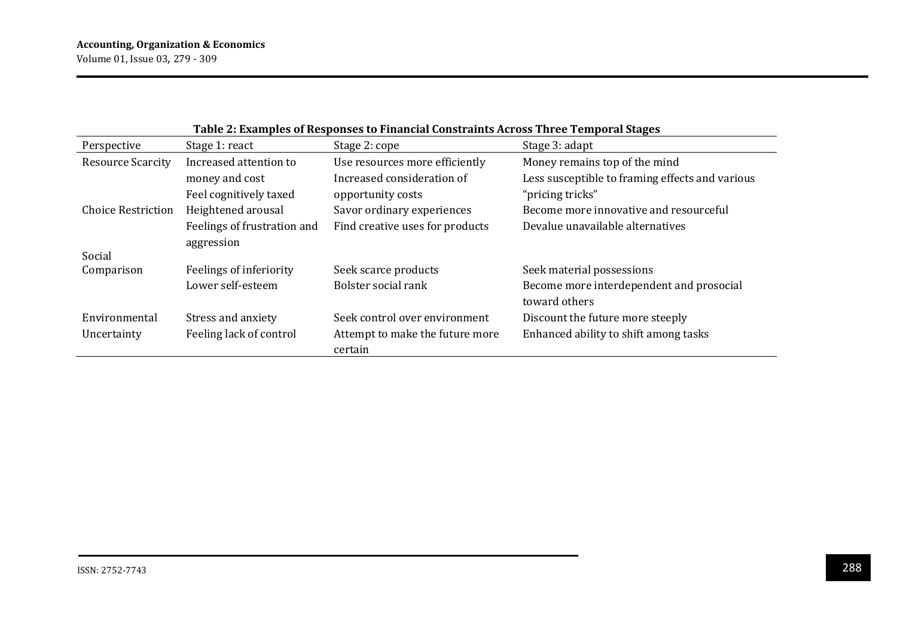| Table 2: Examples of Responses to Financial Constraints Across Three Temporal Stages |                             |                                 |                                                 |  |
|--------------------------------------------------------------------------------------|-----------------------------|---------------------------------|-------------------------------------------------|--|
| Perspective                                                                          | Stage 1: react              | Stage 2: cope                   | Stage 3: adapt                                  |  |
| <b>Resource Scarcity</b>                                                             | Increased attention to      | Use resources more efficiently  | Money remains top of the mind                   |  |
|                                                                                      | money and cost              | Increased consideration of      | Less susceptible to framing effects and various |  |
|                                                                                      | Feel cognitively taxed      | opportunity costs               | "pricing tricks"                                |  |
| <b>Choice Restriction</b>                                                            | Heightened arousal          | Savor ordinary experiences      | Become more innovative and resourceful          |  |
|                                                                                      | Feelings of frustration and | Find creative uses for products | Devalue unavailable alternatives                |  |
|                                                                                      | aggression                  |                                 |                                                 |  |
| Social                                                                               |                             |                                 |                                                 |  |
| Comparison                                                                           | Feelings of inferiority     | Seek scarce products            | Seek material possessions                       |  |
|                                                                                      | Lower self-esteem           | Bolster social rank             | Become more interdependent and prosocial        |  |
|                                                                                      |                             |                                 | toward others                                   |  |
| Environmental                                                                        | Stress and anxiety          | Seek control over environment   | Discount the future more steeply                |  |
| Uncertainty                                                                          | Feeling lack of control     | Attempt to make the future more | Enhanced ability to shift among tasks           |  |
|                                                                                      |                             | certain                         |                                                 |  |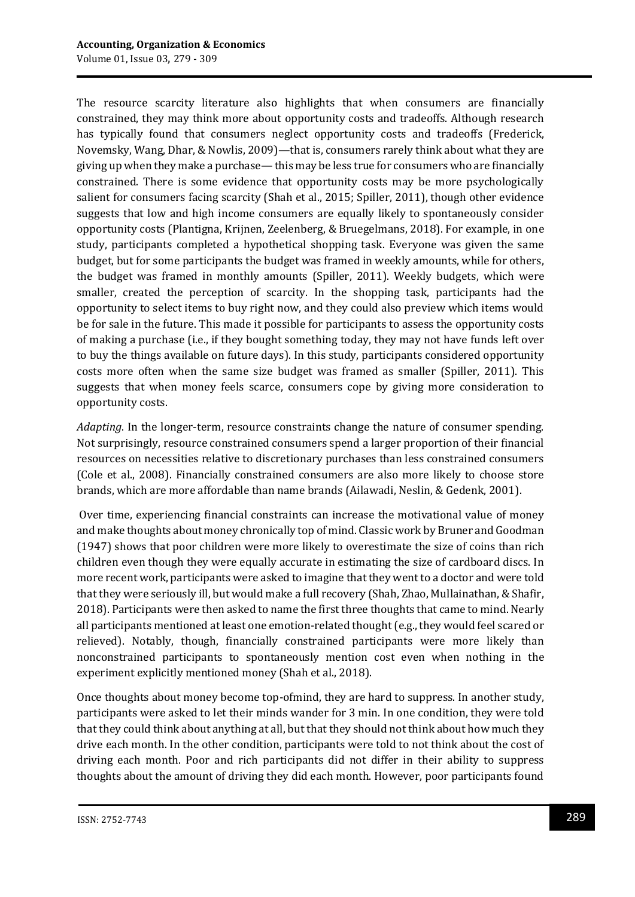The resource scarcity literature also highlights that when consumers are financially constrained, they may think more about opportunity costs and tradeoffs. Although research has typically found that consumers neglect opportunity costs and tradeoffs (Frederick, Novemsky, Wang, Dhar, & Nowlis, 2009)—that is, consumers rarely think about what they are giving up when they make a purchase—this may be less true for consumers who are financially constrained. There is some evidence that opportunity costs may be more psychologically salient for consumers facing scarcity (Shah et al., 2015; Spiller, 2011), though other evidence suggests that low and high income consumers are equally likely to spontaneously consider opportunity costs (Plantigna, Krijnen, Zeelenberg, & Bruegelmans, 2018). For example, in one study, participants completed a hypothetical shopping task. Everyone was given the same budget, but for some participants the budget was framed in weekly amounts, while for others, the budget was framed in monthly amounts (Spiller, 2011). Weekly budgets, which were smaller, created the perception of scarcity. In the shopping task, participants had the opportunity to select items to buy right now, and they could also preview which items would be for sale in the future. This made it possible for participants to assess the opportunity costs of making a purchase (i.e., if they bought something today, they may not have funds left over to buy the things available on future days). In this study, participants considered opportunity costs more often when the same size budget was framed as smaller (Spiller, 2011). This suggests that when money feels scarce, consumers cope by giving more consideration to opportunity costs.

*Adapting*. In the longer-term, resource constraints change the nature of consumer spending. Not surprisingly, resource constrained consumers spend a larger proportion of their financial resources on necessities relative to discretionary purchases than less constrained consumers (Cole et al., 2008). Financially constrained consumers are also more likely to choose store brands, which are more affordable than name brands (Ailawadi, Neslin, & Gedenk, 2001).

Over time, experiencing financial constraints can increase the motivational value of money and make thoughts about money chronically top of mind. Classic work by Bruner and Goodman (1947) shows that poor children were more likely to overestimate the size of coins than rich children even though they were equally accurate in estimating the size of cardboard discs. In more recent work, participants were asked to imagine that they went to a doctor and were told that they were seriously ill, but would make a full recovery (Shah, Zhao, Mullainathan, & Shafir, 2018). Participants were then asked to name the first three thoughts that came to mind. Nearly all participants mentioned at least one emotion-related thought (e.g., they would feel scared or relieved). Notably, though, financially constrained participants were more likely than nonconstrained participants to spontaneously mention cost even when nothing in the experiment explicitly mentioned money (Shah et al., 2018).

Once thoughts about money become top-ofmind, they are hard to suppress. In another study, participants were asked to let their minds wander for 3 min. In one condition, they were told that they could think about anything at all, but that they should not think about how much they drive each month. In the other condition, participants were told to not think about the cost of driving each month. Poor and rich participants did not differ in their ability to suppress thoughts about the amount of driving they did each month. However, poor participants found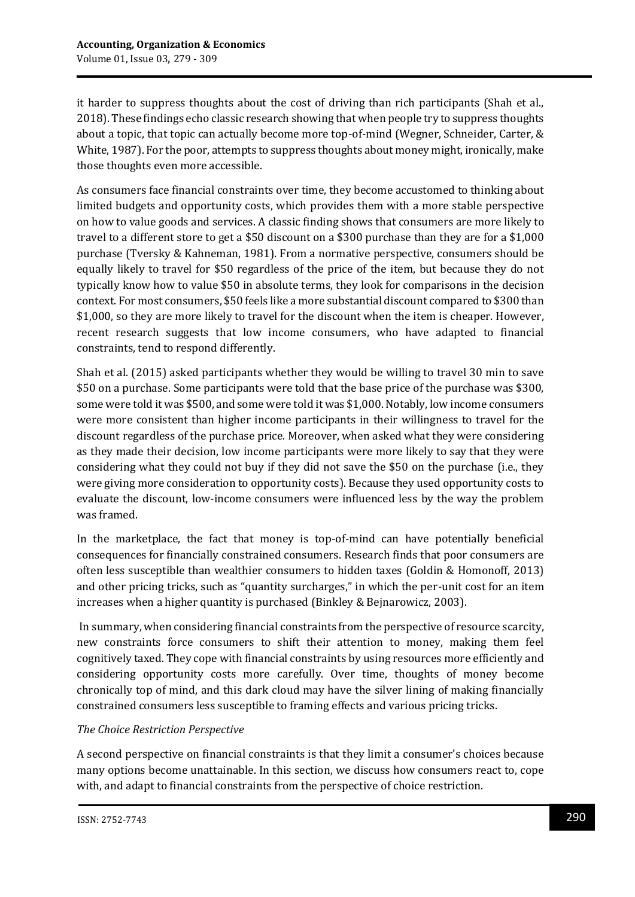it harder to suppress thoughts about the cost of driving than rich participants (Shah et al., 2018). These findings echo classic research showing that when people try to suppress thoughts about a topic, that topic can actually become more top-of-mind (Wegner, Schneider, Carter, & White, 1987). For the poor, attempts to suppress thoughts about money might, ironically, make those thoughts even more accessible.

As consumers face financial constraints over time, they become accustomed to thinking about limited budgets and opportunity costs, which provides them with a more stable perspective on how to value goods and services. A classic finding shows that consumers are more likely to travel to a different store to get a \$50 discount on a \$300 purchase than they are for a \$1,000 purchase (Tversky & Kahneman, 1981). From a normative perspective, consumers should be equally likely to travel for \$50 regardless of the price of the item, but because they do not typically know how to value \$50 in absolute terms, they look for comparisons in the decision context. For most consumers, \$50 feels like a more substantial discount compared to \$300 than \$1,000, so they are more likely to travel for the discount when the item is cheaper. However, recent research suggests that low income consumers, who have adapted to financial constraints, tend to respond differently.

Shah et al. (2015) asked participants whether they would be willing to travel 30 min to save \$50 on a purchase. Some participants were told that the base price of the purchase was \$300, some were told it was \$500, and some were told it was \$1,000. Notably, low income consumers were more consistent than higher income participants in their willingness to travel for the discount regardless of the purchase price. Moreover, when asked what they were considering as they made their decision, low income participants were more likely to say that they were considering what they could not buy if they did not save the \$50 on the purchase (i.e., they were giving more consideration to opportunity costs). Because they used opportunity costs to evaluate the discount, low-income consumers were influenced less by the way the problem was framed.

In the marketplace, the fact that money is top-of-mind can have potentially beneficial consequences for financially constrained consumers. Research finds that poor consumers are often less susceptible than wealthier consumers to hidden taxes (Goldin & Homonoff, 2013) and other pricing tricks, such as "quantity surcharges," in which the per-unit cost for an item increases when a higher quantity is purchased (Binkley & Bejnarowicz, 2003).

In summary, when considering financial constraints from the perspective of resource scarcity, new constraints force consumers to shift their attention to money, making them feel cognitively taxed. They cope with financial constraints by using resources more efficiently and considering opportunity costs more carefully. Over time, thoughts of money become chronically top of mind, and this dark cloud may have the silver lining of making financially constrained consumers less susceptible to framing effects and various pricing tricks.

# *The Choice Restriction Perspective*

A second perspective on financial constraints is that they limit a consumer's choices because many options become unattainable. In this section, we discuss how consumers react to, cope with, and adapt to financial constraints from the perspective of choice restriction.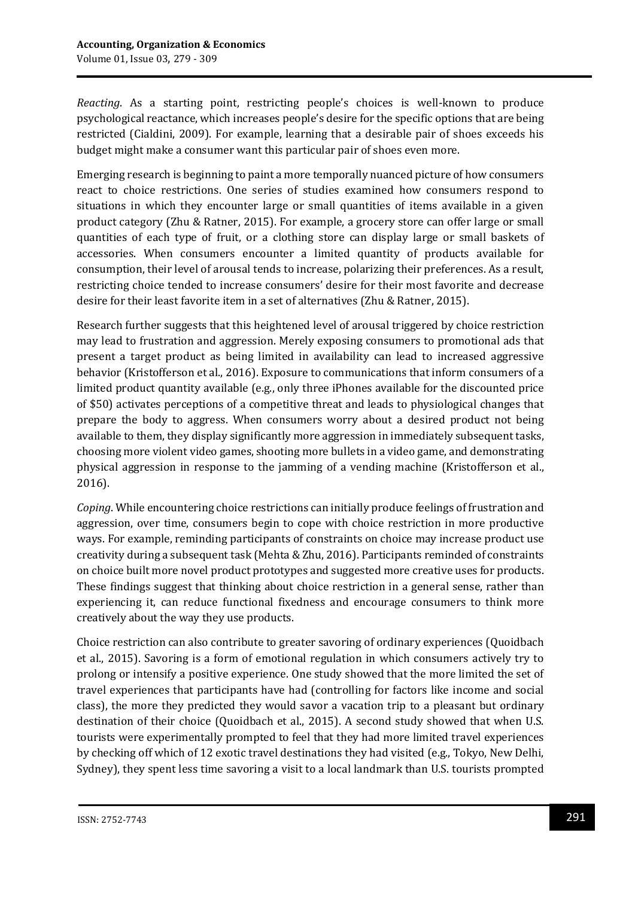*Reacting*. As a starting point, restricting people's choices is well-known to produce psychological reactance, which increases people's desire for the specific options that are being restricted (Cialdini, 2009). For example, learning that a desirable pair of shoes exceeds his budget might make a consumer want this particular pair of shoes even more.

Emerging research is beginning to paint a more temporally nuanced picture of how consumers react to choice restrictions. One series of studies examined how consumers respond to situations in which they encounter large or small quantities of items available in a given product category (Zhu & Ratner, 2015). For example, a grocery store can offer large or small quantities of each type of fruit, or a clothing store can display large or small baskets of accessories. When consumers encounter a limited quantity of products available for consumption, their level of arousal tends to increase, polarizing their preferences. As a result, restricting choice tended to increase consumers' desire for their most favorite and decrease desire for their least favorite item in a set of alternatives (Zhu & Ratner, 2015).

Research further suggests that this heightened level of arousal triggered by choice restriction may lead to frustration and aggression. Merely exposing consumers to promotional ads that present a target product as being limited in availability can lead to increased aggressive behavior (Kristofferson et al., 2016). Exposure to communications that inform consumers of a limited product quantity available (e.g., only three iPhones available for the discounted price of \$50) activates perceptions of a competitive threat and leads to physiological changes that prepare the body to aggress. When consumers worry about a desired product not being available to them, they display significantly more aggression in immediately subsequent tasks, choosing more violent video games, shooting more bullets in a video game, and demonstrating physical aggression in response to the jamming of a vending machine (Kristofferson et al., 2016).

*Coping*. While encountering choice restrictions can initially produce feelings of frustration and aggression, over time, consumers begin to cope with choice restriction in more productive ways. For example, reminding participants of constraints on choice may increase product use creativity during a subsequent task (Mehta & Zhu, 2016). Participants reminded of constraints on choice built more novel product prototypes and suggested more creative uses for products. These findings suggest that thinking about choice restriction in a general sense, rather than experiencing it, can reduce functional fixedness and encourage consumers to think more creatively about the way they use products.

Choice restriction can also contribute to greater savoring of ordinary experiences (Quoidbach et al., 2015). Savoring is a form of emotional regulation in which consumers actively try to prolong or intensify a positive experience. One study showed that the more limited the set of travel experiences that participants have had (controlling for factors like income and social class), the more they predicted they would savor a vacation trip to a pleasant but ordinary destination of their choice (Quoidbach et al., 2015). A second study showed that when U.S. tourists were experimentally prompted to feel that they had more limited travel experiences by checking off which of 12 exotic travel destinations they had visited (e.g., Tokyo, New Delhi, Sydney), they spent less time savoring a visit to a local landmark than U.S. tourists prompted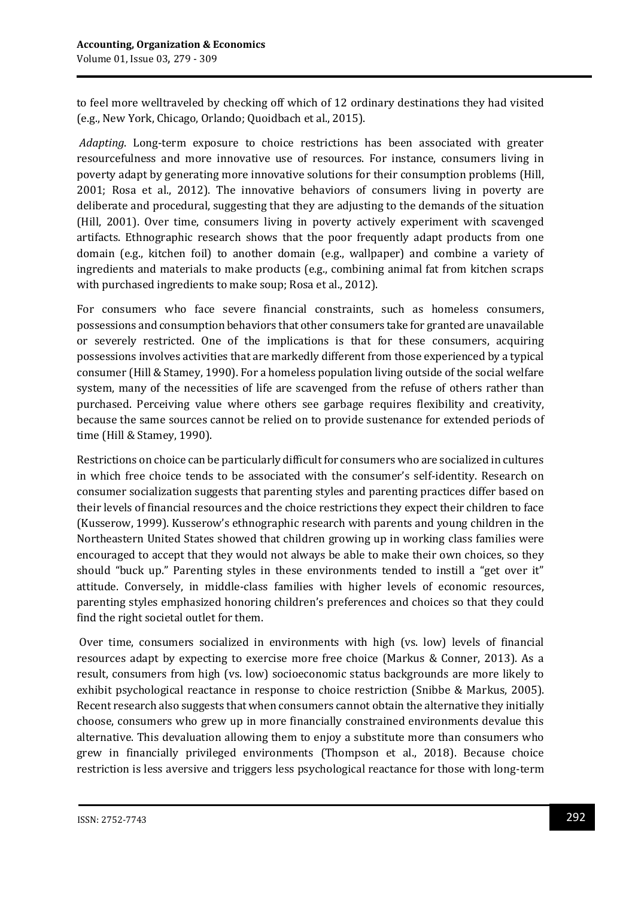to feel more welltraveled by checking off which of 12 ordinary destinations they had visited (e.g., New York, Chicago, Orlando; Quoidbach et al., 2015).

*Adapting*. Long-term exposure to choice restrictions has been associated with greater resourcefulness and more innovative use of resources. For instance, consumers living in poverty adapt by generating more innovative solutions for their consumption problems (Hill, 2001; Rosa et al., 2012). The innovative behaviors of consumers living in poverty are deliberate and procedural, suggesting that they are adjusting to the demands of the situation (Hill, 2001). Over time, consumers living in poverty actively experiment with scavenged artifacts. Ethnographic research shows that the poor frequently adapt products from one domain (e.g., kitchen foil) to another domain (e.g., wallpaper) and combine a variety of ingredients and materials to make products (e.g., combining animal fat from kitchen scraps with purchased ingredients to make soup; Rosa et al., 2012).

For consumers who face severe financial constraints, such as homeless consumers, possessions and consumption behaviors that other consumers take for granted are unavailable or severely restricted. One of the implications is that for these consumers, acquiring possessions involves activities that are markedly different from those experienced by a typical consumer (Hill & Stamey, 1990). For a homeless population living outside of the social welfare system, many of the necessities of life are scavenged from the refuse of others rather than purchased. Perceiving value where others see garbage requires flexibility and creativity, because the same sources cannot be relied on to provide sustenance for extended periods of time (Hill & Stamey, 1990).

Restrictions on choice can be particularly difficult for consumers who are socialized in cultures in which free choice tends to be associated with the consumer's self-identity. Research on consumer socialization suggests that parenting styles and parenting practices differ based on their levels of financial resources and the choice restrictions they expect their children to face (Kusserow, 1999). Kusserow's ethnographic research with parents and young children in the Northeastern United States showed that children growing up in working class families were encouraged to accept that they would not always be able to make their own choices, so they should "buck up." Parenting styles in these environments tended to instill a "get over it" attitude. Conversely, in middle-class families with higher levels of economic resources, parenting styles emphasized honoring children's preferences and choices so that they could find the right societal outlet for them.

Over time, consumers socialized in environments with high (vs. low) levels of financial resources adapt by expecting to exercise more free choice (Markus & Conner, 2013). As a result, consumers from high (vs. low) socioeconomic status backgrounds are more likely to exhibit psychological reactance in response to choice restriction (Snibbe & Markus, 2005). Recent research also suggests that when consumers cannot obtain the alternative they initially choose, consumers who grew up in more financially constrained environments devalue this alternative. This devaluation allowing them to enjoy a substitute more than consumers who grew in financially privileged environments (Thompson et al., 2018). Because choice restriction is less aversive and triggers less psychological reactance for those with long-term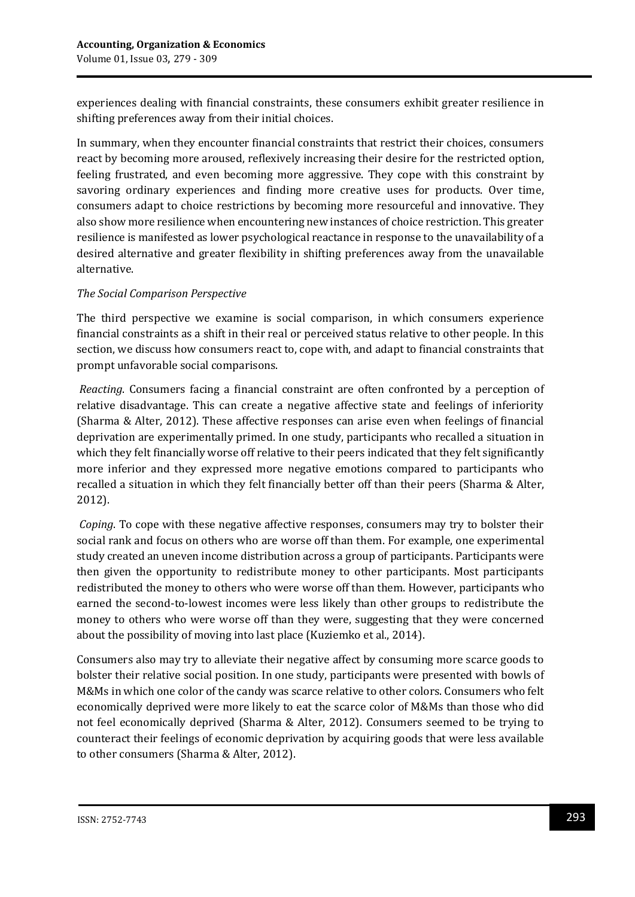experiences dealing with financial constraints, these consumers exhibit greater resilience in shifting preferences away from their initial choices.

In summary, when they encounter financial constraints that restrict their choices, consumers react by becoming more aroused, reflexively increasing their desire for the restricted option, feeling frustrated, and even becoming more aggressive. They cope with this constraint by savoring ordinary experiences and finding more creative uses for products. Over time, consumers adapt to choice restrictions by becoming more resourceful and innovative. They also show more resilience when encountering new instances of choice restriction. This greater resilience is manifested as lower psychological reactance in response to the unavailability of a desired alternative and greater flexibility in shifting preferences away from the unavailable alternative.

### *The Social Comparison Perspective*

The third perspective we examine is social comparison, in which consumers experience financial constraints as a shift in their real or perceived status relative to other people. In this section, we discuss how consumers react to, cope with, and adapt to financial constraints that prompt unfavorable social comparisons.

*Reacting*. Consumers facing a financial constraint are often confronted by a perception of relative disadvantage. This can create a negative affective state and feelings of inferiority (Sharma & Alter, 2012). These affective responses can arise even when feelings of financial deprivation are experimentally primed. In one study, participants who recalled a situation in which they felt financially worse off relative to their peers indicated that they felt significantly more inferior and they expressed more negative emotions compared to participants who recalled a situation in which they felt financially better off than their peers (Sharma & Alter, 2012).

*Coping*. To cope with these negative affective responses, consumers may try to bolster their social rank and focus on others who are worse off than them. For example, one experimental study created an uneven income distribution across a group of participants. Participants were then given the opportunity to redistribute money to other participants. Most participants redistributed the money to others who were worse off than them. However, participants who earned the second-to-lowest incomes were less likely than other groups to redistribute the money to others who were worse off than they were, suggesting that they were concerned about the possibility of moving into last place (Kuziemko et al., 2014).

Consumers also may try to alleviate their negative affect by consuming more scarce goods to bolster their relative social position. In one study, participants were presented with bowls of M&Ms in which one color of the candy was scarce relative to other colors. Consumers who felt economically deprived were more likely to eat the scarce color of M&Ms than those who did not feel economically deprived (Sharma & Alter, 2012). Consumers seemed to be trying to counteract their feelings of economic deprivation by acquiring goods that were less available to other consumers (Sharma & Alter, 2012).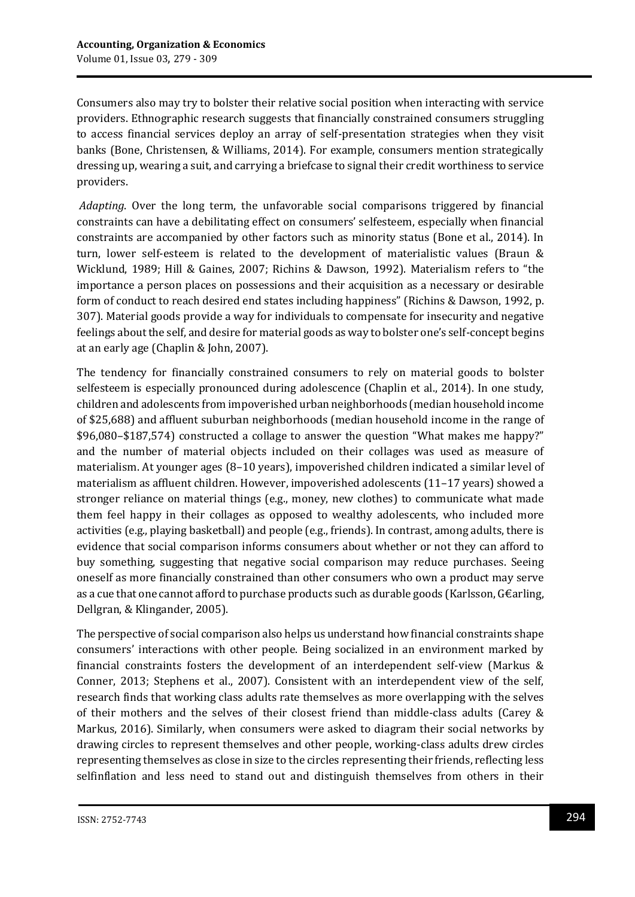Consumers also may try to bolster their relative social position when interacting with service providers. Ethnographic research suggests that financially constrained consumers struggling to access financial services deploy an array of self-presentation strategies when they visit banks (Bone, Christensen, & Williams, 2014). For example, consumers mention strategically dressing up, wearing a suit, and carrying a briefcase to signal their credit worthiness to service providers.

*Adapting*. Over the long term, the unfavorable social comparisons triggered by financial constraints can have a debilitating effect on consumers' selfesteem, especially when financial constraints are accompanied by other factors such as minority status (Bone et al., 2014). In turn, lower self-esteem is related to the development of materialistic values (Braun & Wicklund, 1989; Hill & Gaines, 2007; Richins & Dawson, 1992). Materialism refers to "the importance a person places on possessions and their acquisition as a necessary or desirable form of conduct to reach desired end states including happiness" (Richins & Dawson, 1992, p. 307). Material goods provide a way for individuals to compensate for insecurity and negative feelings about the self, and desire for material goods as way to bolster one's self-concept begins at an early age (Chaplin & John, 2007).

The tendency for financially constrained consumers to rely on material goods to bolster selfesteem is especially pronounced during adolescence (Chaplin et al., 2014). In one study, children and adolescents from impoverished urban neighborhoods (median household income of \$25,688) and affluent suburban neighborhoods (median household income in the range of \$96,080–\$187,574) constructed a collage to answer the question "What makes me happy?" and the number of material objects included on their collages was used as measure of materialism. At younger ages (8–10 years), impoverished children indicated a similar level of materialism as affluent children. However, impoverished adolescents (11–17 years) showed a stronger reliance on material things (e.g., money, new clothes) to communicate what made them feel happy in their collages as opposed to wealthy adolescents, who included more activities (e.g., playing basketball) and people (e.g., friends). In contrast, among adults, there is evidence that social comparison informs consumers about whether or not they can afford to buy something, suggesting that negative social comparison may reduce purchases. Seeing oneself as more financially constrained than other consumers who own a product may serve as a cue that one cannot afford to purchase products such as durable goods (Karlsson, G€arling, Dellgran, & Klingander, 2005).

The perspective of social comparison also helps us understand how financial constraints shape consumers' interactions with other people. Being socialized in an environment marked by financial constraints fosters the development of an interdependent self-view (Markus & Conner, 2013; Stephens et al., 2007). Consistent with an interdependent view of the self, research finds that working class adults rate themselves as more overlapping with the selves of their mothers and the selves of their closest friend than middle-class adults (Carey & Markus, 2016). Similarly, when consumers were asked to diagram their social networks by drawing circles to represent themselves and other people, working-class adults drew circles representing themselves as close in size to the circles representing their friends, reflecting less selfinflation and less need to stand out and distinguish themselves from others in their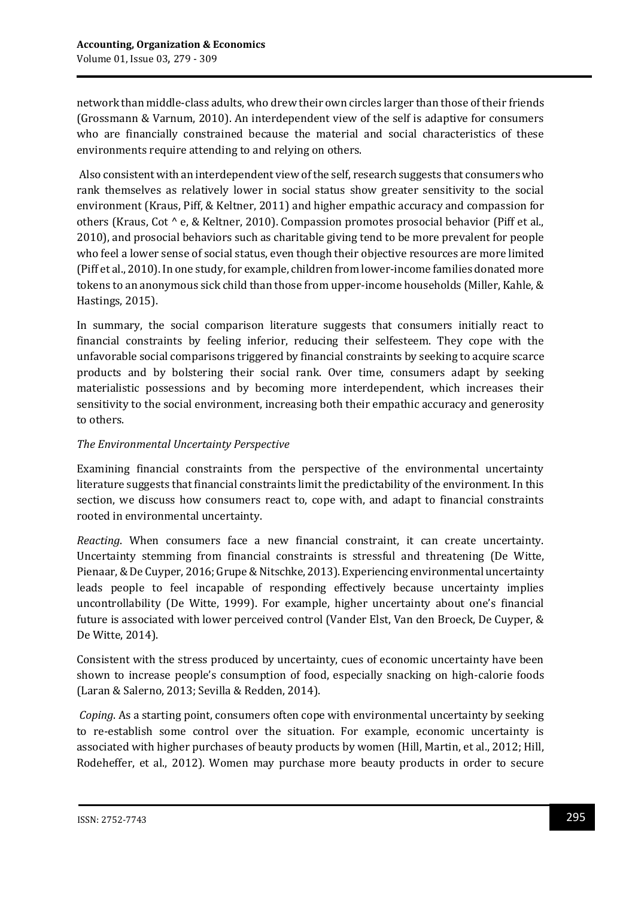network than middle-class adults, who drew their own circles larger than those of their friends (Grossmann & Varnum, 2010). An interdependent view of the self is adaptive for consumers who are financially constrained because the material and social characteristics of these environments require attending to and relying on others.

Also consistent with an interdependent view of the self, research suggests that consumers who rank themselves as relatively lower in social status show greater sensitivity to the social environment (Kraus, Piff, & Keltner, 2011) and higher empathic accuracy and compassion for others (Kraus, Cot ^ e, & Keltner, 2010). Compassion promotes prosocial behavior (Piff et al., 2010), and prosocial behaviors such as charitable giving tend to be more prevalent for people who feel a lower sense of social status, even though their objective resources are more limited (Piff et al., 2010). In one study, for example, children from lower-income families donated more tokens to an anonymous sick child than those from upper-income households (Miller, Kahle, & Hastings, 2015).

In summary, the social comparison literature suggests that consumers initially react to financial constraints by feeling inferior, reducing their selfesteem. They cope with the unfavorable social comparisons triggered by financial constraints by seeking to acquire scarce products and by bolstering their social rank. Over time, consumers adapt by seeking materialistic possessions and by becoming more interdependent, which increases their sensitivity to the social environment, increasing both their empathic accuracy and generosity to others.

## *The Environmental Uncertainty Perspective*

Examining financial constraints from the perspective of the environmental uncertainty literature suggests that financial constraints limit the predictability of the environment. In this section, we discuss how consumers react to, cope with, and adapt to financial constraints rooted in environmental uncertainty.

*Reacting*. When consumers face a new financial constraint, it can create uncertainty. Uncertainty stemming from financial constraints is stressful and threatening (De Witte, Pienaar, & De Cuyper, 2016; Grupe & Nitschke, 2013). Experiencing environmental uncertainty leads people to feel incapable of responding effectively because uncertainty implies uncontrollability (De Witte, 1999). For example, higher uncertainty about one's financial future is associated with lower perceived control (Vander Elst, Van den Broeck, De Cuyper, & De Witte, 2014).

Consistent with the stress produced by uncertainty, cues of economic uncertainty have been shown to increase people's consumption of food, especially snacking on high-calorie foods (Laran & Salerno, 2013; Sevilla & Redden, 2014).

*Coping*. As a starting point, consumers often cope with environmental uncertainty by seeking to re-establish some control over the situation. For example, economic uncertainty is associated with higher purchases of beauty products by women (Hill, Martin, et al., 2012; Hill, Rodeheffer, et al., 2012). Women may purchase more beauty products in order to secure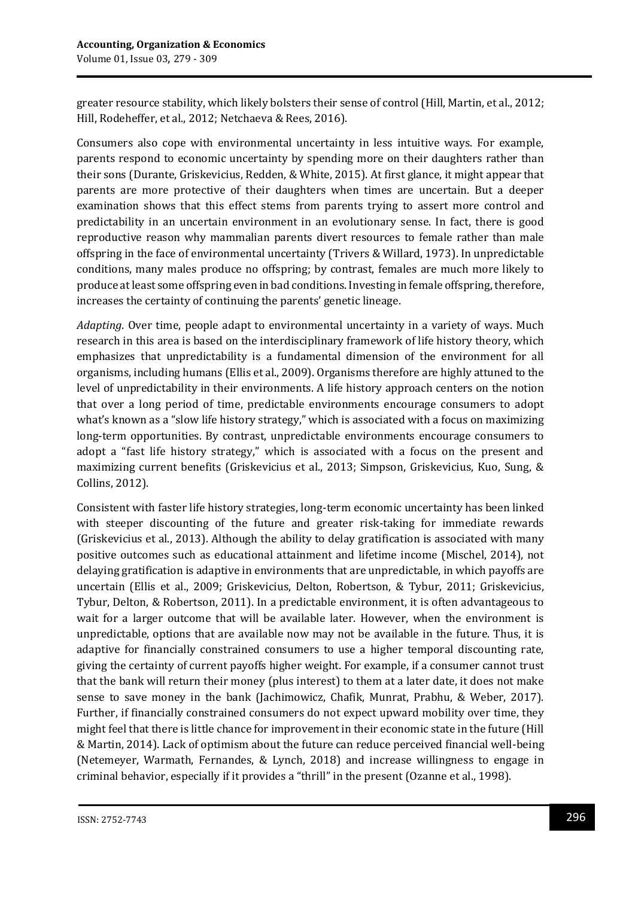greater resource stability, which likely bolsters their sense of control (Hill, Martin, et al., 2012; Hill, Rodeheffer, et al., 2012; Netchaeva & Rees, 2016).

Consumers also cope with environmental uncertainty in less intuitive ways. For example, parents respond to economic uncertainty by spending more on their daughters rather than their sons (Durante, Griskevicius, Redden, & White, 2015). At first glance, it might appear that parents are more protective of their daughters when times are uncertain. But a deeper examination shows that this effect stems from parents trying to assert more control and predictability in an uncertain environment in an evolutionary sense. In fact, there is good reproductive reason why mammalian parents divert resources to female rather than male offspring in the face of environmental uncertainty (Trivers & Willard, 1973). In unpredictable conditions, many males produce no offspring; by contrast, females are much more likely to produce at least some offspring even in bad conditions. Investing in female offspring, therefore, increases the certainty of continuing the parents' genetic lineage.

*Adapting*. Over time, people adapt to environmental uncertainty in a variety of ways. Much research in this area is based on the interdisciplinary framework of life history theory, which emphasizes that unpredictability is a fundamental dimension of the environment for all organisms, including humans (Ellis et al., 2009). Organisms therefore are highly attuned to the level of unpredictability in their environments. A life history approach centers on the notion that over a long period of time, predictable environments encourage consumers to adopt what's known as a "slow life history strategy," which is associated with a focus on maximizing long-term opportunities. By contrast, unpredictable environments encourage consumers to adopt a "fast life history strategy," which is associated with a focus on the present and maximizing current benefits (Griskevicius et al., 2013; Simpson, Griskevicius, Kuo, Sung, & Collins, 2012).

Consistent with faster life history strategies, long-term economic uncertainty has been linked with steeper discounting of the future and greater risk-taking for immediate rewards (Griskevicius et al., 2013). Although the ability to delay gratification is associated with many positive outcomes such as educational attainment and lifetime income (Mischel, 2014), not delaying gratification is adaptive in environments that are unpredictable, in which payoffs are uncertain (Ellis et al., 2009; Griskevicius, Delton, Robertson, & Tybur, 2011; Griskevicius, Tybur, Delton, & Robertson, 2011). In a predictable environment, it is often advantageous to wait for a larger outcome that will be available later. However, when the environment is unpredictable, options that are available now may not be available in the future. Thus, it is adaptive for financially constrained consumers to use a higher temporal discounting rate, giving the certainty of current payoffs higher weight. For example, if a consumer cannot trust that the bank will return their money (plus interest) to them at a later date, it does not make sense to save money in the bank (Jachimowicz, Chafik, Munrat, Prabhu, & Weber, 2017). Further, if financially constrained consumers do not expect upward mobility over time, they might feel that there is little chance for improvement in their economic state in the future (Hill & Martin, 2014). Lack of optimism about the future can reduce perceived financial well-being (Netemeyer, Warmath, Fernandes, & Lynch, 2018) and increase willingness to engage in criminal behavior, especially if it provides a "thrill" in the present (Ozanne et al., 1998).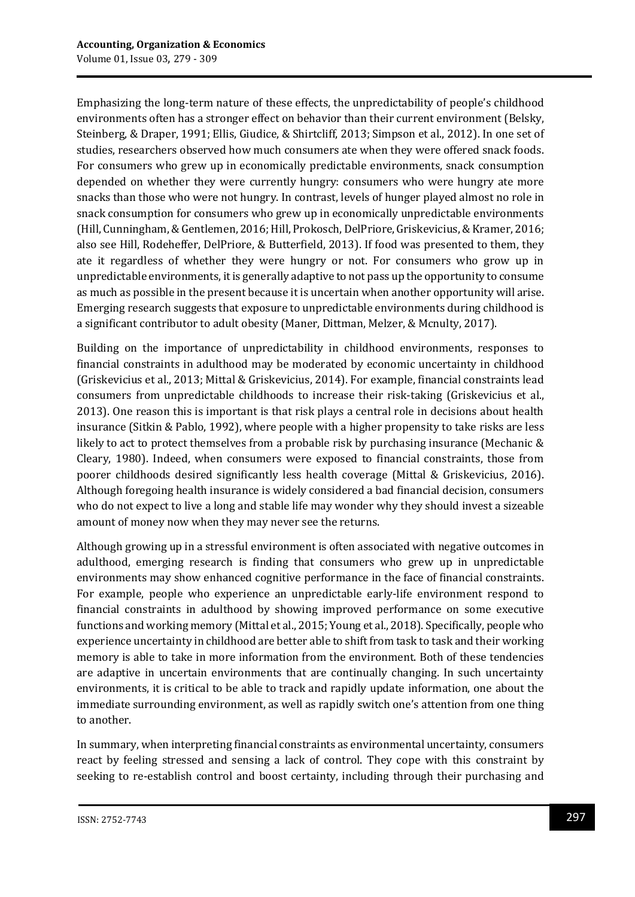Emphasizing the long-term nature of these effects, the unpredictability of people's childhood environments often has a stronger effect on behavior than their current environment (Belsky, Steinberg, & Draper, 1991; Ellis, Giudice, & Shirtcliff, 2013; Simpson et al., 2012). In one set of studies, researchers observed how much consumers ate when they were offered snack foods. For consumers who grew up in economically predictable environments, snack consumption depended on whether they were currently hungry: consumers who were hungry ate more snacks than those who were not hungry. In contrast, levels of hunger played almost no role in snack consumption for consumers who grew up in economically unpredictable environments (Hill, Cunningham, & Gentlemen, 2016; Hill, Prokosch, DelPriore, Griskevicius, & Kramer, 2016; also see Hill, Rodeheffer, DelPriore, & Butterfield, 2013). If food was presented to them, they ate it regardless of whether they were hungry or not. For consumers who grow up in unpredictable environments, it is generally adaptive to not pass up the opportunity to consume as much as possible in the present because it is uncertain when another opportunity will arise. Emerging research suggests that exposure to unpredictable environments during childhood is a significant contributor to adult obesity (Maner, Dittman, Melzer, & Mcnulty, 2017).

Building on the importance of unpredictability in childhood environments, responses to financial constraints in adulthood may be moderated by economic uncertainty in childhood (Griskevicius et al., 2013; Mittal & Griskevicius, 2014). For example, financial constraints lead consumers from unpredictable childhoods to increase their risk-taking (Griskevicius et al., 2013). One reason this is important is that risk plays a central role in decisions about health insurance (Sitkin & Pablo, 1992), where people with a higher propensity to take risks are less likely to act to protect themselves from a probable risk by purchasing insurance (Mechanic & Cleary, 1980). Indeed, when consumers were exposed to financial constraints, those from poorer childhoods desired significantly less health coverage (Mittal & Griskevicius, 2016). Although foregoing health insurance is widely considered a bad financial decision, consumers who do not expect to live a long and stable life may wonder why they should invest a sizeable amount of money now when they may never see the returns.

Although growing up in a stressful environment is often associated with negative outcomes in adulthood, emerging research is finding that consumers who grew up in unpredictable environments may show enhanced cognitive performance in the face of financial constraints. For example, people who experience an unpredictable early-life environment respond to financial constraints in adulthood by showing improved performance on some executive functions and working memory (Mittal et al., 2015; Young et al., 2018). Specifically, people who experience uncertainty in childhood are better able to shift from task to task and their working memory is able to take in more information from the environment. Both of these tendencies are adaptive in uncertain environments that are continually changing. In such uncertainty environments, it is critical to be able to track and rapidly update information, one about the immediate surrounding environment, as well as rapidly switch one's attention from one thing to another.

In summary, when interpreting financial constraints as environmental uncertainty, consumers react by feeling stressed and sensing a lack of control. They cope with this constraint by seeking to re-establish control and boost certainty, including through their purchasing and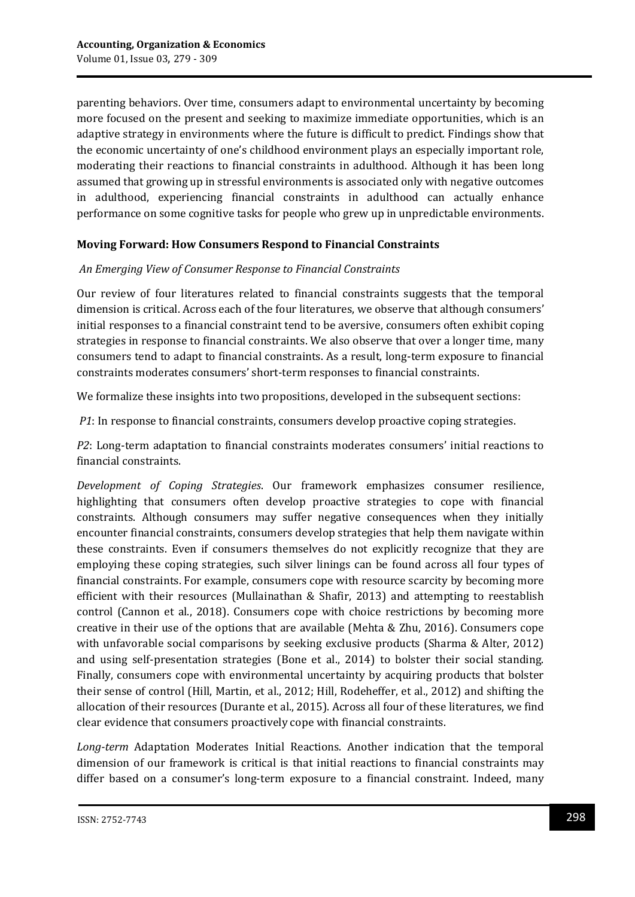parenting behaviors. Over time, consumers adapt to environmental uncertainty by becoming more focused on the present and seeking to maximize immediate opportunities, which is an adaptive strategy in environments where the future is difficult to predict. Findings show that the economic uncertainty of one's childhood environment plays an especially important role, moderating their reactions to financial constraints in adulthood. Although it has been long assumed that growing up in stressful environments is associated only with negative outcomes in adulthood, experiencing financial constraints in adulthood can actually enhance performance on some cognitive tasks for people who grew up in unpredictable environments.

### **Moving Forward: How Consumers Respond to Financial Constraints**

### *An Emerging View of Consumer Response to Financial Constraints*

Our review of four literatures related to financial constraints suggests that the temporal dimension is critical. Across each of the four literatures, we observe that although consumers' initial responses to a financial constraint tend to be aversive, consumers often exhibit coping strategies in response to financial constraints. We also observe that over a longer time, many consumers tend to adapt to financial constraints. As a result, long-term exposure to financial constraints moderates consumers' short-term responses to financial constraints.

We formalize these insights into two propositions, developed in the subsequent sections:

*P1*: In response to financial constraints, consumers develop proactive coping strategies.

*P2*: Long-term adaptation to financial constraints moderates consumers' initial reactions to financial constraints.

*Development of Coping Strategies*. Our framework emphasizes consumer resilience, highlighting that consumers often develop proactive strategies to cope with financial constraints. Although consumers may suffer negative consequences when they initially encounter financial constraints, consumers develop strategies that help them navigate within these constraints. Even if consumers themselves do not explicitly recognize that they are employing these coping strategies, such silver linings can be found across all four types of financial constraints. For example, consumers cope with resource scarcity by becoming more efficient with their resources (Mullainathan & Shafir, 2013) and attempting to reestablish control (Cannon et al., 2018). Consumers cope with choice restrictions by becoming more creative in their use of the options that are available (Mehta & Zhu, 2016). Consumers cope with unfavorable social comparisons by seeking exclusive products (Sharma & Alter, 2012) and using self-presentation strategies (Bone et al., 2014) to bolster their social standing. Finally, consumers cope with environmental uncertainty by acquiring products that bolster their sense of control (Hill, Martin, et al., 2012; Hill, Rodeheffer, et al., 2012) and shifting the allocation of their resources (Durante et al., 2015). Across all four of these literatures, we find clear evidence that consumers proactively cope with financial constraints.

*Long-term* Adaptation Moderates Initial Reactions. Another indication that the temporal dimension of our framework is critical is that initial reactions to financial constraints may differ based on a consumer's long-term exposure to a financial constraint. Indeed, many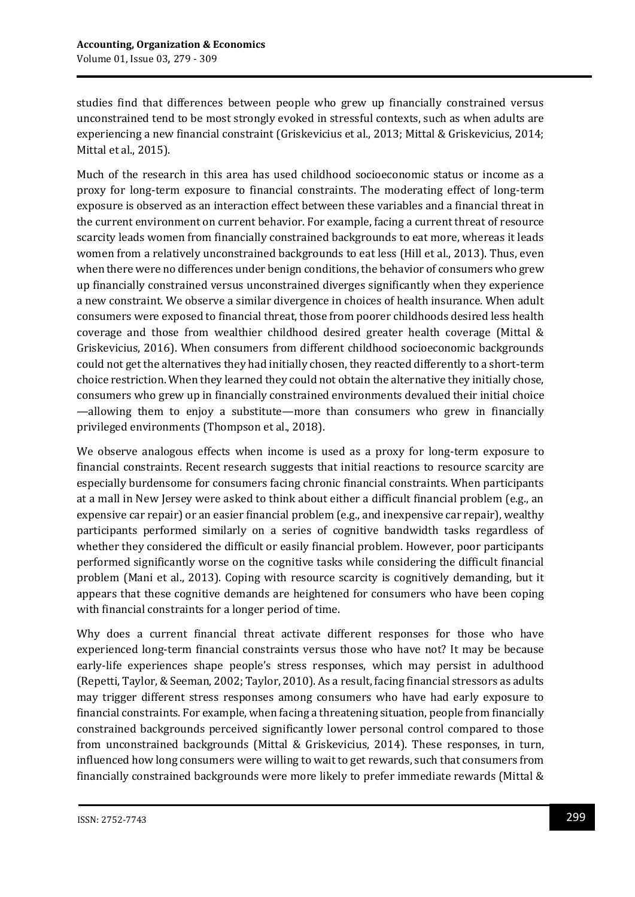studies find that differences between people who grew up financially constrained versus unconstrained tend to be most strongly evoked in stressful contexts, such as when adults are experiencing a new financial constraint (Griskevicius et al., 2013; Mittal & Griskevicius, 2014; Mittal et al., 2015).

Much of the research in this area has used childhood socioeconomic status or income as a proxy for long-term exposure to financial constraints. The moderating effect of long-term exposure is observed as an interaction effect between these variables and a financial threat in the current environment on current behavior. For example, facing a current threat of resource scarcity leads women from financially constrained backgrounds to eat more, whereas it leads women from a relatively unconstrained backgrounds to eat less (Hill et al., 2013). Thus, even when there were no differences under benign conditions, the behavior of consumers who grew up financially constrained versus unconstrained diverges significantly when they experience a new constraint. We observe a similar divergence in choices of health insurance. When adult consumers were exposed to financial threat, those from poorer childhoods desired less health coverage and those from wealthier childhood desired greater health coverage (Mittal & Griskevicius, 2016). When consumers from different childhood socioeconomic backgrounds could not get the alternatives they had initially chosen, they reacted differently to a short-term choice restriction. When they learned they could not obtain the alternative they initially chose, consumers who grew up in financially constrained environments devalued their initial choice —allowing them to enjoy a substitute—more than consumers who grew in financially privileged environments (Thompson et al., 2018).

We observe analogous effects when income is used as a proxy for long-term exposure to financial constraints. Recent research suggests that initial reactions to resource scarcity are especially burdensome for consumers facing chronic financial constraints. When participants at a mall in New Jersey were asked to think about either a difficult financial problem (e.g., an expensive car repair) or an easier financial problem (e.g., and inexpensive car repair), wealthy participants performed similarly on a series of cognitive bandwidth tasks regardless of whether they considered the difficult or easily financial problem. However, poor participants performed significantly worse on the cognitive tasks while considering the difficult financial problem (Mani et al., 2013). Coping with resource scarcity is cognitively demanding, but it appears that these cognitive demands are heightened for consumers who have been coping with financial constraints for a longer period of time.

Why does a current financial threat activate different responses for those who have experienced long-term financial constraints versus those who have not? It may be because early-life experiences shape people's stress responses, which may persist in adulthood (Repetti, Taylor, & Seeman, 2002; Taylor, 2010). As a result, facing financial stressors as adults may trigger different stress responses among consumers who have had early exposure to financial constraints. For example, when facing a threatening situation, people from financially constrained backgrounds perceived significantly lower personal control compared to those from unconstrained backgrounds (Mittal & Griskevicius, 2014). These responses, in turn, influenced how long consumers were willing to wait to get rewards, such that consumers from financially constrained backgrounds were more likely to prefer immediate rewards (Mittal &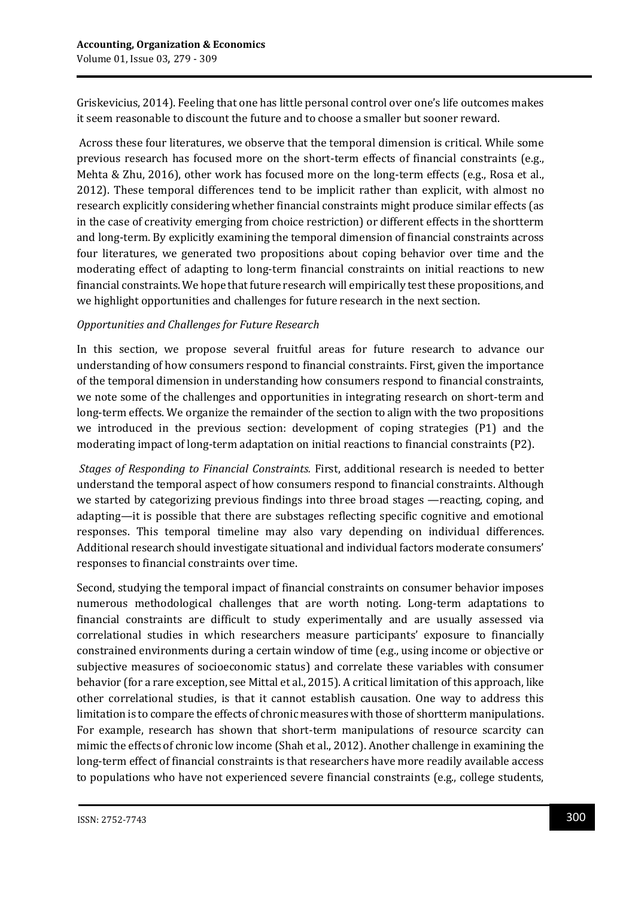Griskevicius, 2014). Feeling that one has little personal control over one's life outcomes makes it seem reasonable to discount the future and to choose a smaller but sooner reward.

Across these four literatures, we observe that the temporal dimension is critical. While some previous research has focused more on the short-term effects of financial constraints (e.g., Mehta & Zhu, 2016), other work has focused more on the long-term effects (e.g., Rosa et al., 2012). These temporal differences tend to be implicit rather than explicit, with almost no research explicitly considering whether financial constraints might produce similar effects (as in the case of creativity emerging from choice restriction) or different effects in the shortterm and long-term. By explicitly examining the temporal dimension of financial constraints across four literatures, we generated two propositions about coping behavior over time and the moderating effect of adapting to long-term financial constraints on initial reactions to new financial constraints. We hope that future research will empirically test these propositions, and we highlight opportunities and challenges for future research in the next section.

## *Opportunities and Challenges for Future Research*

In this section, we propose several fruitful areas for future research to advance our understanding of how consumers respond to financial constraints. First, given the importance of the temporal dimension in understanding how consumers respond to financial constraints, we note some of the challenges and opportunities in integrating research on short-term and long-term effects. We organize the remainder of the section to align with the two propositions we introduced in the previous section: development of coping strategies (P1) and the moderating impact of long-term adaptation on initial reactions to financial constraints (P2).

*Stages of Responding to Financial Constraints.* First, additional research is needed to better understand the temporal aspect of how consumers respond to financial constraints. Although we started by categorizing previous findings into three broad stages —reacting, coping, and adapting—it is possible that there are substages reflecting specific cognitive and emotional responses. This temporal timeline may also vary depending on individual differences. Additional research should investigate situational and individual factors moderate consumers' responses to financial constraints over time.

Second, studying the temporal impact of financial constraints on consumer behavior imposes numerous methodological challenges that are worth noting. Long-term adaptations to financial constraints are difficult to study experimentally and are usually assessed via correlational studies in which researchers measure participants' exposure to financially constrained environments during a certain window of time (e.g., using income or objective or subjective measures of socioeconomic status) and correlate these variables with consumer behavior (for a rare exception, see Mittal et al., 2015). A critical limitation of this approach, like other correlational studies, is that it cannot establish causation. One way to address this limitation is to compare the effects of chronic measures with those of shortterm manipulations. For example, research has shown that short-term manipulations of resource scarcity can mimic the effects of chronic low income (Shah et al., 2012). Another challenge in examining the long-term effect of financial constraints is that researchers have more readily available access to populations who have not experienced severe financial constraints (e.g., college students,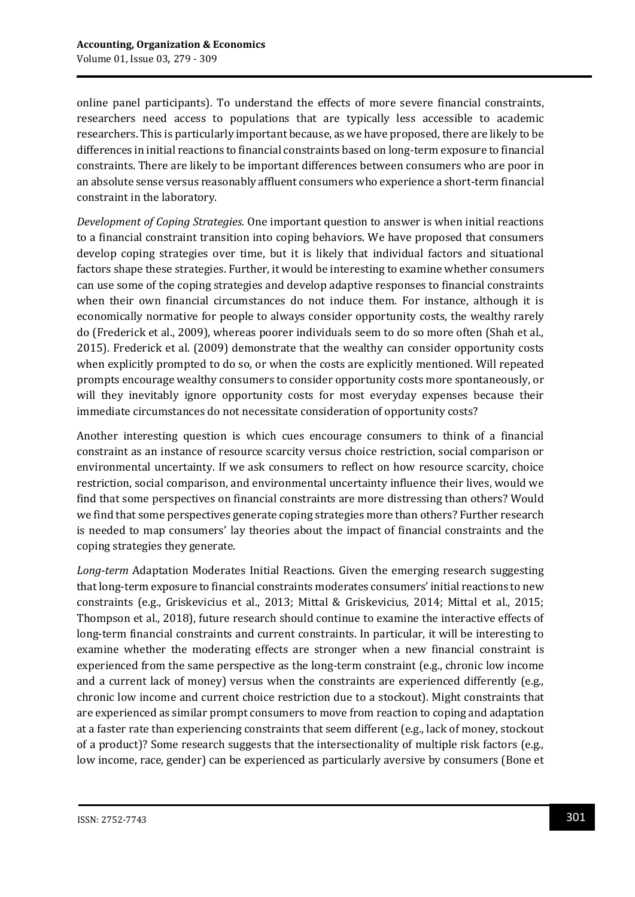online panel participants). To understand the effects of more severe financial constraints, researchers need access to populations that are typically less accessible to academic researchers. This is particularly important because, as we have proposed, there are likely to be differences in initial reactions to financial constraints based on long-term exposure to financial constraints. There are likely to be important differences between consumers who are poor in an absolute sense versus reasonably affluent consumers who experience a short-term financial constraint in the laboratory.

*Development of Coping Strategies.* One important question to answer is when initial reactions to a financial constraint transition into coping behaviors. We have proposed that consumers develop coping strategies over time, but it is likely that individual factors and situational factors shape these strategies. Further, it would be interesting to examine whether consumers can use some of the coping strategies and develop adaptive responses to financial constraints when their own financial circumstances do not induce them. For instance, although it is economically normative for people to always consider opportunity costs, the wealthy rarely do (Frederick et al., 2009), whereas poorer individuals seem to do so more often (Shah et al., 2015). Frederick et al. (2009) demonstrate that the wealthy can consider opportunity costs when explicitly prompted to do so, or when the costs are explicitly mentioned. Will repeated prompts encourage wealthy consumers to consider opportunity costs more spontaneously, or will they inevitably ignore opportunity costs for most everyday expenses because their immediate circumstances do not necessitate consideration of opportunity costs?

Another interesting question is which cues encourage consumers to think of a financial constraint as an instance of resource scarcity versus choice restriction, social comparison or environmental uncertainty. If we ask consumers to reflect on how resource scarcity, choice restriction, social comparison, and environmental uncertainty influence their lives, would we find that some perspectives on financial constraints are more distressing than others? Would we find that some perspectives generate coping strategies more than others? Further research is needed to map consumers' lay theories about the impact of financial constraints and the coping strategies they generate.

*Long-term* Adaptation Moderates Initial Reactions. Given the emerging research suggesting that long-term exposure to financial constraints moderates consumers' initial reactions to new constraints (e.g., Griskevicius et al., 2013; Mittal & Griskevicius, 2014; Mittal et al., 2015; Thompson et al., 2018), future research should continue to examine the interactive effects of long-term financial constraints and current constraints. In particular, it will be interesting to examine whether the moderating effects are stronger when a new financial constraint is experienced from the same perspective as the long-term constraint (e.g., chronic low income and a current lack of money) versus when the constraints are experienced differently (e.g., chronic low income and current choice restriction due to a stockout). Might constraints that are experienced as similar prompt consumers to move from reaction to coping and adaptation at a faster rate than experiencing constraints that seem different (e.g., lack of money, stockout of a product)? Some research suggests that the intersectionality of multiple risk factors (e.g., low income, race, gender) can be experienced as particularly aversive by consumers (Bone et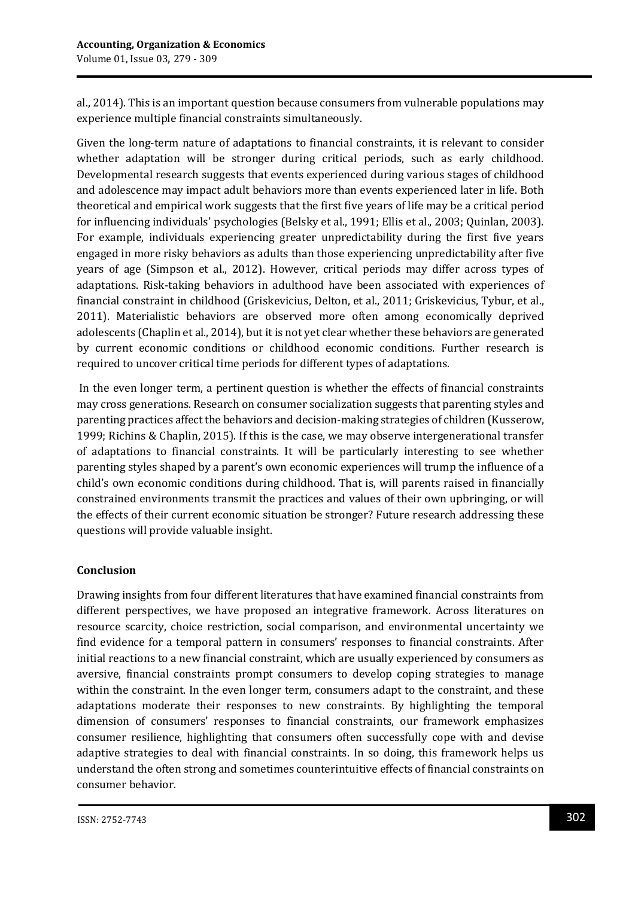al., 2014). This is an important question because consumers from vulnerable populations may experience multiple financial constraints simultaneously.

Given the long-term nature of adaptations to financial constraints, it is relevant to consider whether adaptation will be stronger during critical periods, such as early childhood. Developmental research suggests that events experienced during various stages of childhood and adolescence may impact adult behaviors more than events experienced later in life. Both theoretical and empirical work suggests that the first five years of life may be a critical period for influencing individuals' psychologies (Belsky et al., 1991; Ellis et al., 2003; Quinlan, 2003). For example, individuals experiencing greater unpredictability during the first five years engaged in more risky behaviors as adults than those experiencing unpredictability after five years of age (Simpson et al., 2012). However, critical periods may differ across types of adaptations. Risk-taking behaviors in adulthood have been associated with experiences of financial constraint in childhood (Griskevicius, Delton, et al., 2011; Griskevicius, Tybur, et al., 2011). Materialistic behaviors are observed more often among economically deprived adolescents (Chaplin et al., 2014), but it is not yet clear whether these behaviors are generated by current economic conditions or childhood economic conditions. Further research is required to uncover critical time periods for different types of adaptations.

In the even longer term, a pertinent question is whether the effects of financial constraints may cross generations. Research on consumer socialization suggests that parenting styles and parenting practices affect the behaviors and decision-making strategies of children (Kusserow, 1999; Richins & Chaplin, 2015). If this is the case, we may observe intergenerational transfer of adaptations to financial constraints. It will be particularly interesting to see whether parenting styles shaped by a parent's own economic experiences will trump the influence of a child's own economic conditions during childhood. That is, will parents raised in financially constrained environments transmit the practices and values of their own upbringing, or will the effects of their current economic situation be stronger? Future research addressing these questions will provide valuable insight.

# **Conclusion**

Drawing insights from four different literatures that have examined financial constraints from different perspectives, we have proposed an integrative framework. Across literatures on resource scarcity, choice restriction, social comparison, and environmental uncertainty we find evidence for a temporal pattern in consumers' responses to financial constraints. After initial reactions to a new financial constraint, which are usually experienced by consumers as aversive, financial constraints prompt consumers to develop coping strategies to manage within the constraint. In the even longer term, consumers adapt to the constraint, and these adaptations moderate their responses to new constraints. By highlighting the temporal dimension of consumers' responses to financial constraints, our framework emphasizes consumer resilience, highlighting that consumers often successfully cope with and devise adaptive strategies to deal with financial constraints. In so doing, this framework helps us understand the often strong and sometimes counterintuitive effects of financial constraints on consumer behavior.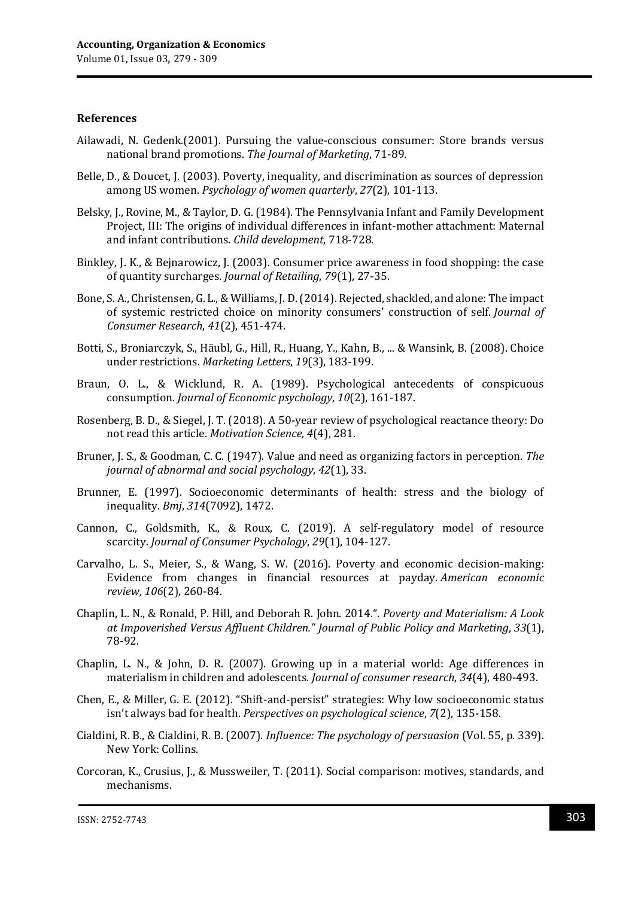#### **References**

- Ailawadi, N. Gedenk.(2001). Pursuing the value-conscious consumer: Store brands versus national brand promotions. *The Journal of Marketing*, 71-89.
- Belle, D., & Doucet, J. (2003). Poverty, inequality, and discrimination as sources of depression among US women. *Psychology of women quarterly*, *27*(2), 101-113.
- Belsky, J., Rovine, M., & Taylor, D. G. (1984). The Pennsylvania Infant and Family Development Project, III: The origins of individual differences in infant-mother attachment: Maternal and infant contributions. *Child development*, 718-728.
- Binkley, J. K., & Bejnarowicz, J. (2003). Consumer price awareness in food shopping: the case of quantity surcharges. *Journal of Retailing*, *79*(1), 27-35.
- Bone, S. A., Christensen, G. L., & Williams, J. D. (2014). Rejected, shackled, and alone: The impact of systemic restricted choice on minority consumers' construction of self. *Journal of Consumer Research*, *41*(2), 451-474.
- Botti, S., Broniarczyk, S., Häubl, G., Hill, R., Huang, Y., Kahn, B., ... & Wansink, B. (2008). Choice under restrictions. *Marketing Letters*, *19*(3), 183-199.
- Braun, O. L., & Wicklund, R. A. (1989). Psychological antecedents of conspicuous consumption. *Journal of Economic psychology*, *10*(2), 161-187.
- Rosenberg, B. D., & Siegel, J. T. (2018). A 50-year review of psychological reactance theory: Do not read this article. *Motivation Science*, *4*(4), 281.
- Bruner, J. S., & Goodman, C. C. (1947). Value and need as organizing factors in perception. *The journal of abnormal and social psychology*, *42*(1), 33.
- Brunner, E. (1997). Socioeconomic determinants of health: stress and the biology of inequality. *Bmj*, *314*(7092), 1472.
- Cannon, C., Goldsmith, K., & Roux, C. (2019). A self‐regulatory model of resource scarcity. *Journal of Consumer Psychology*, *29*(1), 104-127.
- Carvalho, L. S., Meier, S., & Wang, S. W. (2016). Poverty and economic decision-making: Evidence from changes in financial resources at payday. *American economic review*, *106*(2), 260-84.
- Chaplin, L. N., & Ronald, P. Hill, and Deborah R. John. 2014.". *Poverty and Materialism: A Look at Impoverished Versus Affluent Children." Journal of Public Policy and Marketing*, *33*(1), 78-92.
- Chaplin, L. N., & John, D. R. (2007). Growing up in a material world: Age differences in materialism in children and adolescents. *Journal of consumer research*, *34*(4), 480-493.
- Chen, E., & Miller, G. E. (2012). "Shift-and-persist" strategies: Why low socioeconomic status isn't always bad for health. *Perspectives on psychological science*, *7*(2), 135-158.
- Cialdini, R. B., & Cialdini, R. B. (2007). *Influence: The psychology of persuasion* (Vol. 55, p. 339). New York: Collins.
- Corcoran, K., Crusius, J., & Mussweiler, T. (2011). Social comparison: motives, standards, and mechanisms.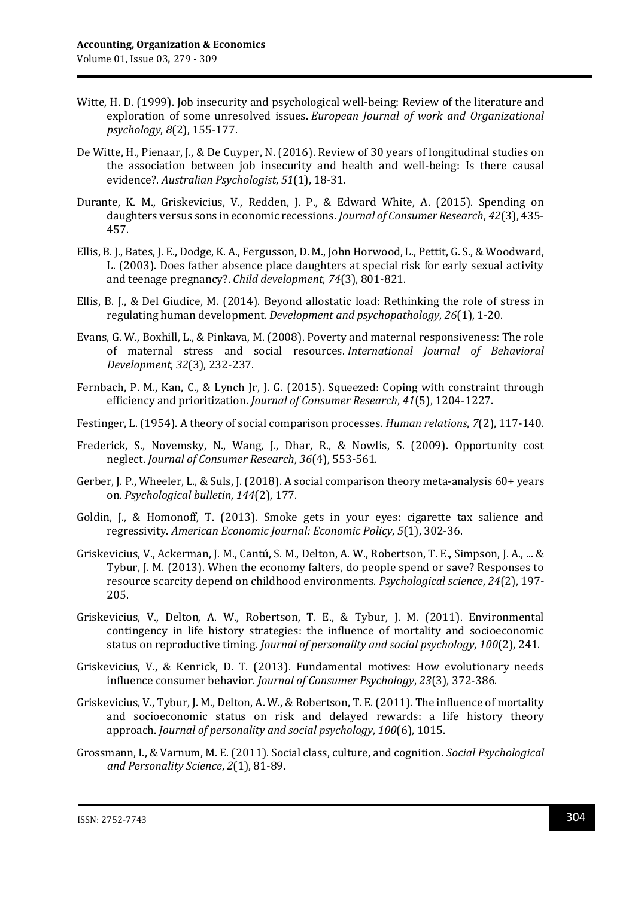- Witte, H. D. (1999). Job insecurity and psychological well-being: Review of the literature and exploration of some unresolved issues. *European Journal of work and Organizational psychology*, *8*(2), 155-177.
- De Witte, H., Pienaar, J., & De Cuyper, N. (2016). Review of 30 years of longitudinal studies on the association between job insecurity and health and well‐being: Is there causal evidence?. *Australian Psychologist*, *51*(1), 18-31.
- Durante, K. M., Griskevicius, V., Redden, J. P., & Edward White, A. (2015). Spending on daughters versus sons in economic recessions. *Journal of Consumer Research*, *42*(3), 435- 457.
- Ellis, B. J., Bates, J. E., Dodge, K. A., Fergusson, D. M., John Horwood, L., Pettit, G. S., & Woodward, L. (2003). Does father absence place daughters at special risk for early sexual activity and teenage pregnancy?. *Child development*, *74*(3), 801-821.
- Ellis, B. J., & Del Giudice, M. (2014). Beyond allostatic load: Rethinking the role of stress in regulating human development. *Development and psychopathology*, *26*(1), 1-20.
- Evans, G. W., Boxhill, L., & Pinkava, M. (2008). Poverty and maternal responsiveness: The role of maternal stress and social resources. *International Journal of Behavioral Development*, *32*(3), 232-237.
- Fernbach, P. M., Kan, C., & Lynch Jr, J. G. (2015). Squeezed: Coping with constraint through efficiency and prioritization. *Journal of Consumer Research*, *41*(5), 1204-1227.
- Festinger, L. (1954). A theory of social comparison processes. *Human relations*, *7*(2), 117-140.
- Frederick, S., Novemsky, N., Wang, J., Dhar, R., & Nowlis, S. (2009). Opportunity cost neglect. *Journal of Consumer Research*, *36*(4), 553-561.
- Gerber, J. P., Wheeler, L., & Suls, J. (2018). A social comparison theory meta-analysis 60+ years on. *Psychological bulletin*, *144*(2), 177.
- Goldin, J., & Homonoff, T. (2013). Smoke gets in your eyes: cigarette tax salience and regressivity. *American Economic Journal: Economic Policy*, *5*(1), 302-36.
- Griskevicius, V., Ackerman, J. M., Cantú, S. M., Delton, A. W., Robertson, T. E., Simpson, J. A., ... & Tybur, J. M. (2013). When the economy falters, do people spend or save? Responses to resource scarcity depend on childhood environments. *Psychological science*, *24*(2), 197- 205.
- Griskevicius, V., Delton, A. W., Robertson, T. E., & Tybur, J. M. (2011). Environmental contingency in life history strategies: the influence of mortality and socioeconomic status on reproductive timing. *Journal of personality and social psychology*, *100*(2), 241.
- Griskevicius, V., & Kenrick, D. T. (2013). Fundamental motives: How evolutionary needs influence consumer behavior. *Journal of Consumer Psychology*, *23*(3), 372-386.
- Griskevicius, V., Tybur, J. M., Delton, A. W., & Robertson, T. E. (2011). The influence of mortality and socioeconomic status on risk and delayed rewards: a life history theory approach. *Journal of personality and social psychology*, *100*(6), 1015.
- Grossmann, I., & Varnum, M. E. (2011). Social class, culture, and cognition. *Social Psychological and Personality Science*, *2*(1), 81-89.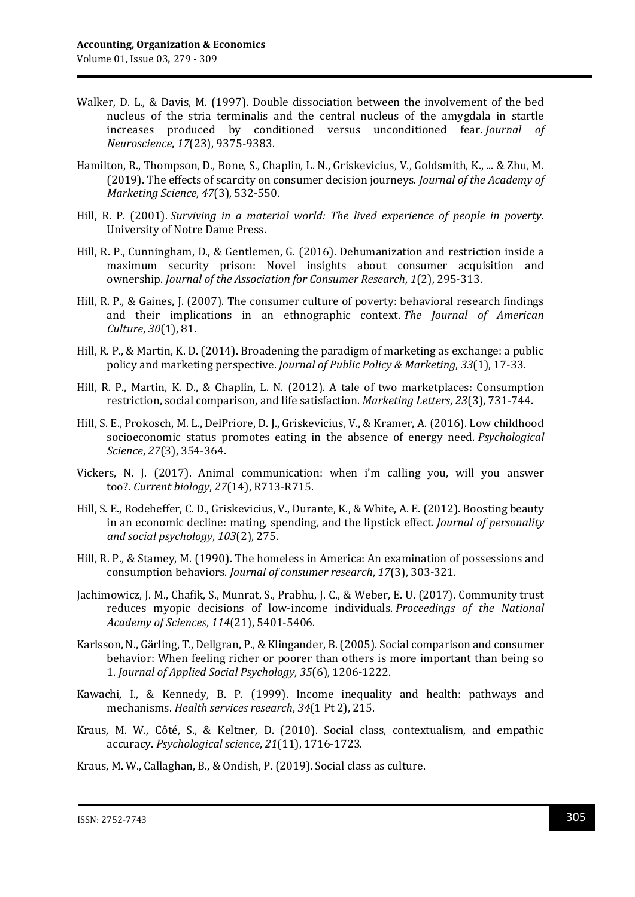- Walker, D. L., & Davis, M. (1997). Double dissociation between the involvement of the bed nucleus of the stria terminalis and the central nucleus of the amygdala in startle increases produced by conditioned versus unconditioned fear. *Journal of Neuroscience*, *17*(23), 9375-9383.
- Hamilton, R., Thompson, D., Bone, S., Chaplin, L. N., Griskevicius, V., Goldsmith, K., ... & Zhu, M. (2019). The effects of scarcity on consumer decision journeys. *Journal of the Academy of Marketing Science*, *47*(3), 532-550.
- Hill, R. P. (2001). *Surviving in a material world: The lived experience of people in poverty*. University of Notre Dame Press.
- Hill, R. P., Cunningham, D., & Gentlemen, G. (2016). Dehumanization and restriction inside a maximum security prison: Novel insights about consumer acquisition and ownership. *Journal of the Association for Consumer Research*, *1*(2), 295-313.
- Hill, R. P., & Gaines, J. (2007). The consumer culture of poverty: behavioral research findings and their implications in an ethnographic context. *The Journal of American Culture*, *30*(1), 81.
- Hill, R. P., & Martin, K. D. (2014). Broadening the paradigm of marketing as exchange: a public policy and marketing perspective. *Journal of Public Policy & Marketing*, *33*(1), 17-33.
- Hill, R. P., Martin, K. D., & Chaplin, L. N. (2012). A tale of two marketplaces: Consumption restriction, social comparison, and life satisfaction. *Marketing Letters*, *23*(3), 731-744.
- Hill, S. E., Prokosch, M. L., DelPriore, D. J., Griskevicius, V., & Kramer, A. (2016). Low childhood socioeconomic status promotes eating in the absence of energy need. *Psychological Science*, *27*(3), 354-364.
- Vickers, N. J. (2017). Animal communication: when i'm calling you, will you answer too?. *Current biology*, *27*(14), R713-R715.
- Hill, S. E., Rodeheffer, C. D., Griskevicius, V., Durante, K., & White, A. E. (2012). Boosting beauty in an economic decline: mating, spending, and the lipstick effect. *Journal of personality and social psychology*, *103*(2), 275.
- Hill, R. P., & Stamey, M. (1990). The homeless in America: An examination of possessions and consumption behaviors. *Journal of consumer research*, *17*(3), 303-321.
- Jachimowicz, J. M., Chafik, S., Munrat, S., Prabhu, J. C., & Weber, E. U. (2017). Community trust reduces myopic decisions of low-income individuals. *Proceedings of the National Academy of Sciences*, *114*(21), 5401-5406.
- Karlsson, N., Gärling, T., Dellgran, P., & Klingander, B. (2005). Social comparison and consumer behavior: When feeling richer or poorer than others is more important than being so 1. *Journal of Applied Social Psychology*, *35*(6), 1206-1222.
- Kawachi, I., & Kennedy, B. P. (1999). Income inequality and health: pathways and mechanisms. *Health services research*, *34*(1 Pt 2), 215.
- Kraus, M. W., Côté, S., & Keltner, D. (2010). Social class, contextualism, and empathic accuracy. *Psychological science*, *21*(11), 1716-1723.

Kraus, M. W., Callaghan, B., & Ondish, P. (2019). Social class as culture.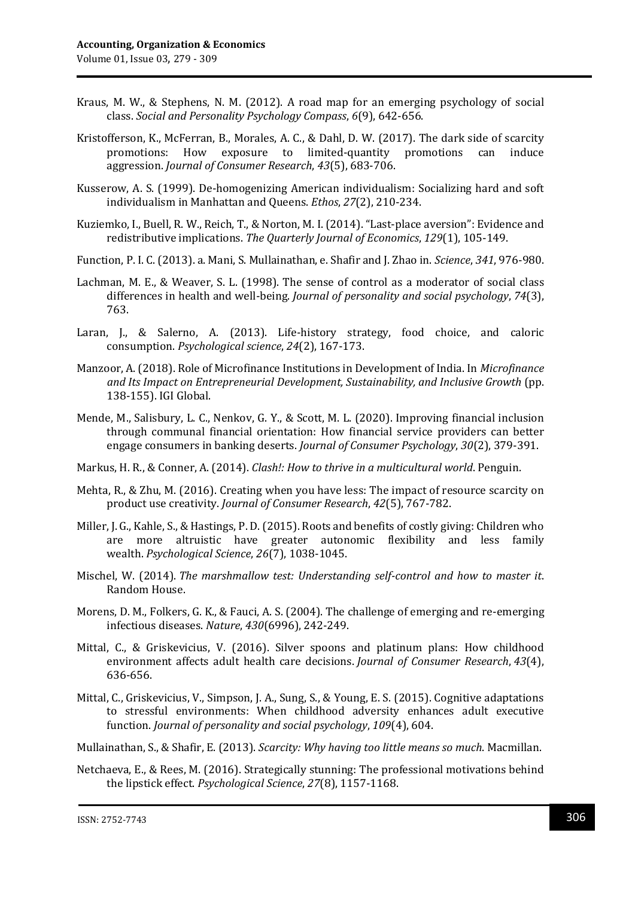- Kraus, M. W., & Stephens, N. M. (2012). A road map for an emerging psychology of social class. *Social and Personality Psychology Compass*, *6*(9), 642-656.
- Kristofferson, K., McFerran, B., Morales, A. C., & Dahl, D. W. (2017). The dark side of scarcity promotions: How exposure to limited-quantity promotions can induce aggression. *Journal of Consumer Research*, *43*(5), 683-706.
- Kusserow, A. S. (1999). De‐homogenizing American individualism: Socializing hard and soft individualism in Manhattan and Queens. *Ethos*, *27*(2), 210-234.
- Kuziemko, I., Buell, R. W., Reich, T., & Norton, M. I. (2014). "Last-place aversion": Evidence and redistributive implications. *The Quarterly Journal of Economics*, *129*(1), 105-149.
- Function, P. I. C. (2013). a. Mani, S. Mullainathan, e. Shafir and J. Zhao in. *Science*, *341*, 976-980.
- Lachman, M. E., & Weaver, S. L. (1998). The sense of control as a moderator of social class differences in health and well-being. *Journal of personality and social psychology*, *74*(3), 763.
- Laran, J., & Salerno, A. (2013). Life-history strategy, food choice, and caloric consumption. *Psychological science*, *24*(2), 167-173.
- Manzoor, A. (2018). Role of Microfinance Institutions in Development of India. In *Microfinance and Its Impact on Entrepreneurial Development, Sustainability, and Inclusive Growth* (pp. 138-155). IGI Global.
- Mende, M., Salisbury, L. C., Nenkov, G. Y., & Scott, M. L. (2020). Improving financial inclusion through communal financial orientation: How financial service providers can better engage consumers in banking deserts. *Journal of Consumer Psychology*, *30*(2), 379-391.
- Markus, H. R., & Conner, A. (2014). *Clash!: How to thrive in a multicultural world*. Penguin.
- Mehta, R., & Zhu, M. (2016). Creating when you have less: The impact of resource scarcity on product use creativity. *Journal of Consumer Research*, *42*(5), 767-782.
- Miller, J. G., Kahle, S., & Hastings, P. D. (2015). Roots and benefits of costly giving: Children who are more altruistic have greater autonomic flexibility and less family wealth. *Psychological Science*, *26*(7), 1038-1045.
- Mischel, W. (2014). *The marshmallow test: Understanding self-control and how to master it*. Random House.
- Morens, D. M., Folkers, G. K., & Fauci, A. S. (2004). The challenge of emerging and re-emerging infectious diseases. *Nature*, *430*(6996), 242-249.
- Mittal, C., & Griskevicius, V. (2016). Silver spoons and platinum plans: How childhood environment affects adult health care decisions. *Journal of Consumer Research*, *43*(4), 636-656.
- Mittal, C., Griskevicius, V., Simpson, J. A., Sung, S., & Young, E. S. (2015). Cognitive adaptations to stressful environments: When childhood adversity enhances adult executive function. *Journal of personality and social psychology*, *109*(4), 604.
- Mullainathan, S., & Shafir, E. (2013). *Scarcity: Why having too little means so much*. Macmillan.
- Netchaeva, E., & Rees, M. (2016). Strategically stunning: The professional motivations behind the lipstick effect. *Psychological Science*, *27*(8), 1157-1168.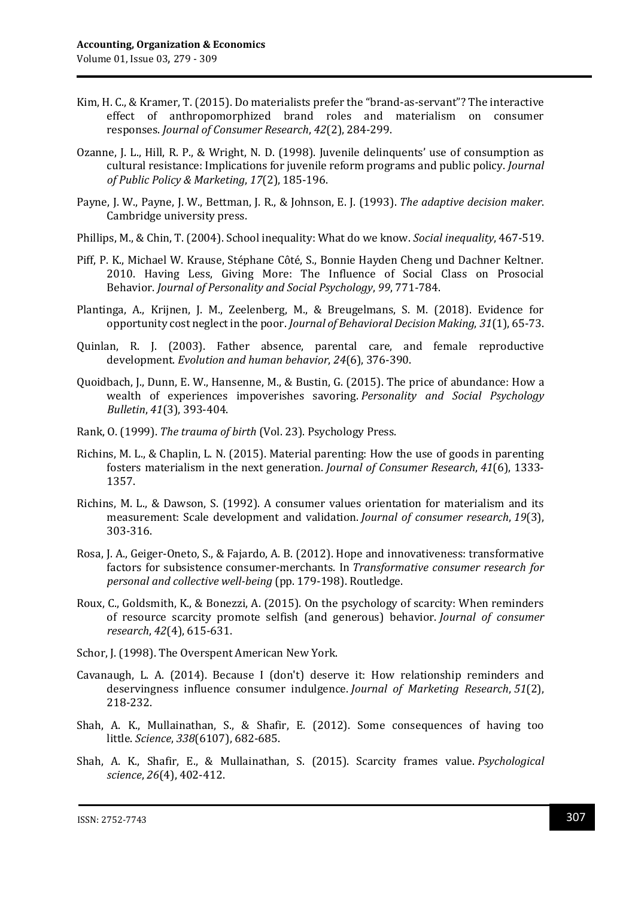- Kim, H. C., & Kramer, T. (2015). Do materialists prefer the "brand-as-servant"? The interactive effect of anthropomorphized brand roles and materialism on consumer responses. *Journal of Consumer Research*, *42*(2), 284-299.
- Ozanne, J. L., Hill, R. P., & Wright, N. D. (1998). Juvenile delinquents' use of consumption as cultural resistance: Implications for juvenile reform programs and public policy. *Journal of Public Policy & Marketing*, *17*(2), 185-196.
- Payne, J. W., Payne, J. W., Bettman, J. R., & Johnson, E. J. (1993). *The adaptive decision maker*. Cambridge university press.
- Phillips, M., & Chin, T. (2004). School inequality: What do we know. *Social inequality*, 467-519.
- Piff, P. K., Michael W. Krause, Stéphane Côté, S., Bonnie Hayden Cheng und Dachner Keltner. 2010. Having Less, Giving More: The Influence of Social Class on Prosocial Behavior. *Journal of Personality and Social Psychology*, *99*, 771-784.
- Plantinga, A., Krijnen, J. M., Zeelenberg, M., & Breugelmans, S. M. (2018). Evidence for opportunity cost neglect in the poor. *Journal of Behavioral Decision Making*, *31*(1), 65-73.
- Quinlan, R. J. (2003). Father absence, parental care, and female reproductive development. *Evolution and human behavior*, *24*(6), 376-390.
- Quoidbach, J., Dunn, E. W., Hansenne, M., & Bustin, G. (2015). The price of abundance: How a wealth of experiences impoverishes savoring. *Personality and Social Psychology Bulletin*, *41*(3), 393-404.
- Rank, O. (1999). *The trauma of birth* (Vol. 23). Psychology Press.
- Richins, M. L., & Chaplin, L. N. (2015). Material parenting: How the use of goods in parenting fosters materialism in the next generation. *Journal of Consumer Research*, *41*(6), 1333- 1357.
- Richins, M. L., & Dawson, S. (1992). A consumer values orientation for materialism and its measurement: Scale development and validation. *Journal of consumer research*, *19*(3), 303-316.
- Rosa, J. A., Geiger-Oneto, S., & Fajardo, A. B. (2012). Hope and innovativeness: transformative factors for subsistence consumer-merchants. In *Transformative consumer research for personal and collective well-being* (pp. 179-198). Routledge.
- Roux, C., Goldsmith, K., & Bonezzi, A. (2015). On the psychology of scarcity: When reminders of resource scarcity promote selfish (and generous) behavior. *Journal of consumer research*, *42*(4), 615-631.
- Schor, J. (1998). The Overspent American New York.
- Cavanaugh, L. A. (2014). Because I (don't) deserve it: How relationship reminders and deservingness influence consumer indulgence. *Journal of Marketing Research*, *51*(2), 218-232.
- Shah, A. K., Mullainathan, S., & Shafir, E. (2012). Some consequences of having too little. *Science*, *338*(6107), 682-685.
- Shah, A. K., Shafir, E., & Mullainathan, S. (2015). Scarcity frames value. *Psychological science*, *26*(4), 402-412.

ISSN: 2752-7743 307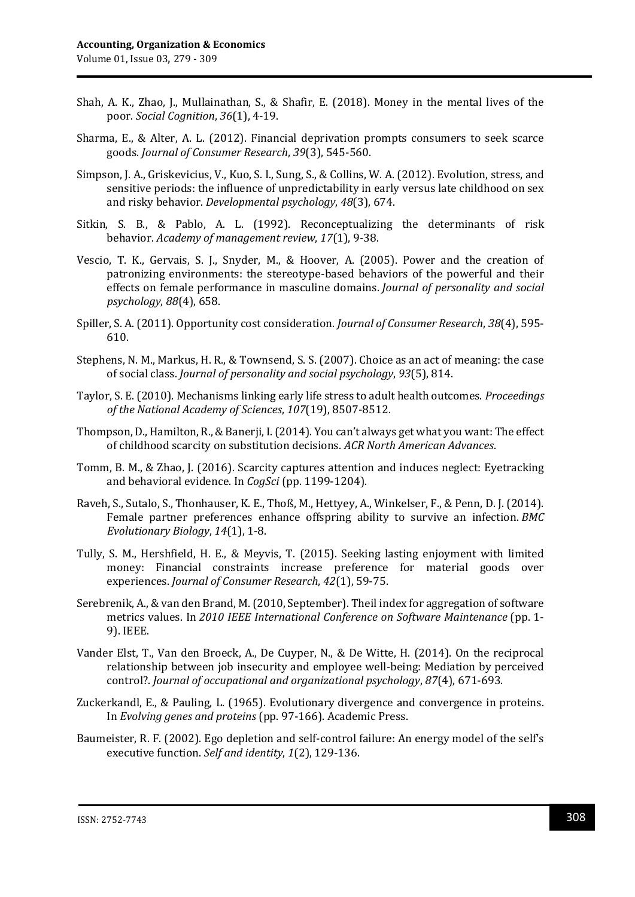- Shah, A. K., Zhao, J., Mullainathan, S., & Shafir, E. (2018). Money in the mental lives of the poor. *Social Cognition*, *36*(1), 4-19.
- Sharma, E., & Alter, A. L. (2012). Financial deprivation prompts consumers to seek scarce goods. *Journal of Consumer Research*, *39*(3), 545-560.
- Simpson, J. A., Griskevicius, V., Kuo, S. I., Sung, S., & Collins, W. A. (2012). Evolution, stress, and sensitive periods: the influence of unpredictability in early versus late childhood on sex and risky behavior. *Developmental psychology*, *48*(3), 674.
- Sitkin, S. B., & Pablo, A. L. (1992). Reconceptualizing the determinants of risk behavior. *Academy of management review*, *17*(1), 9-38.
- Vescio, T. K., Gervais, S. J., Snyder, M., & Hoover, A. (2005). Power and the creation of patronizing environments: the stereotype-based behaviors of the powerful and their effects on female performance in masculine domains. *Journal of personality and social psychology*, *88*(4), 658.
- Spiller, S. A. (2011). Opportunity cost consideration. *Journal of Consumer Research*, *38*(4), 595- 610.
- Stephens, N. M., Markus, H. R., & Townsend, S. S. (2007). Choice as an act of meaning: the case of social class. *Journal of personality and social psychology*, *93*(5), 814.
- Taylor, S. E. (2010). Mechanisms linking early life stress to adult health outcomes. *Proceedings of the National Academy of Sciences*, *107*(19), 8507-8512.
- Thompson, D., Hamilton, R., & Banerji, I. (2014). You can't always get what you want: The effect of childhood scarcity on substitution decisions. *ACR North American Advances*.
- Tomm, B. M., & Zhao, J. (2016). Scarcity captures attention and induces neglect: Eyetracking and behavioral evidence. In *CogSci* (pp. 1199-1204).
- Raveh, S., Sutalo, S., Thonhauser, K. E., Thoß, M., Hettyey, A., Winkelser, F., & Penn, D. J. (2014). Female partner preferences enhance offspring ability to survive an infection. *BMC Evolutionary Biology*, *14*(1), 1-8.
- Tully, S. M., Hershfield, H. E., & Meyvis, T. (2015). Seeking lasting enjoyment with limited money: Financial constraints increase preference for material goods over experiences. *Journal of Consumer Research*, *42*(1), 59-75.
- Serebrenik, A., & van den Brand, M. (2010, September). Theil index for aggregation of software metrics values. In *2010 IEEE International Conference on Software Maintenance* (pp. 1- 9). IEEE.
- Vander Elst, T., Van den Broeck, A., De Cuyper, N., & De Witte, H. (2014). On the reciprocal relationship between job insecurity and employee well‐being: Mediation by perceived control?. *Journal of occupational and organizational psychology*, *87*(4), 671-693.
- Zuckerkandl, E., & Pauling, L. (1965). Evolutionary divergence and convergence in proteins. In *Evolving genes and proteins* (pp. 97-166). Academic Press.
- Baumeister, R. F. (2002). Ego depletion and self-control failure: An energy model of the self's executive function. *Self and identity*, *1*(2), 129-136.